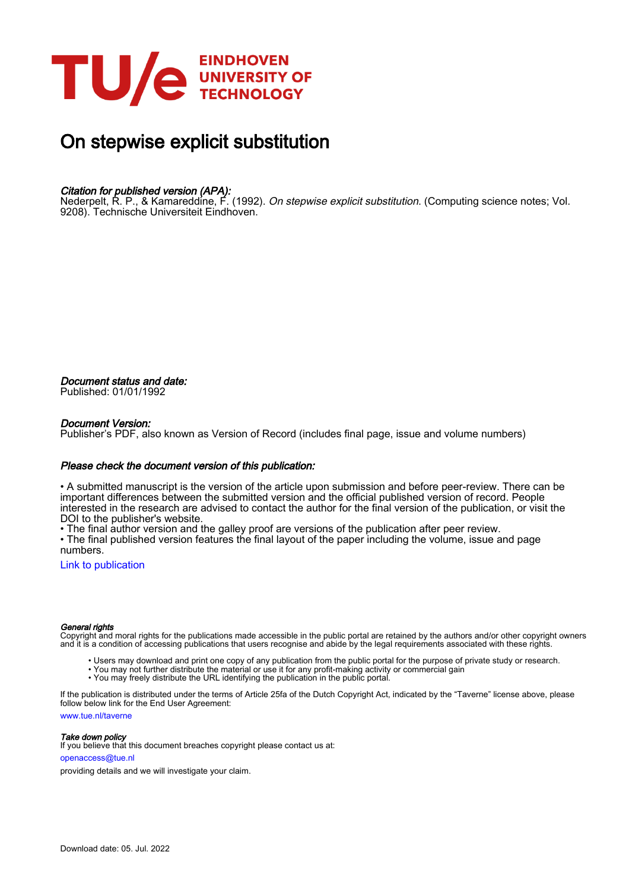

# On stepwise explicit substitution

## Citation for published version (APA):

Nederpelt, R. P., & Kamareddine, F. (1992). *On stepwise explicit substitution*. (Computing science notes; Vol. 9208). Technische Universiteit Eindhoven.

Document status and date: Published: 01/01/1992

#### Document Version:

Publisher's PDF, also known as Version of Record (includes final page, issue and volume numbers)

#### Please check the document version of this publication:

• A submitted manuscript is the version of the article upon submission and before peer-review. There can be important differences between the submitted version and the official published version of record. People interested in the research are advised to contact the author for the final version of the publication, or visit the DOI to the publisher's website.

• The final author version and the galley proof are versions of the publication after peer review.

• The final published version features the final layout of the paper including the volume, issue and page numbers.

[Link to publication](https://research.tue.nl/en/publications/a710e29a-83d4-4c9b-a7f2-3387da795d18)

#### General rights

Copyright and moral rights for the publications made accessible in the public portal are retained by the authors and/or other copyright owners and it is a condition of accessing publications that users recognise and abide by the legal requirements associated with these rights.

- Users may download and print one copy of any publication from the public portal for the purpose of private study or research.
- You may not further distribute the material or use it for any profit-making activity or commercial gain
- You may freely distribute the URL identifying the publication in the public portal.

If the publication is distributed under the terms of Article 25fa of the Dutch Copyright Act, indicated by the "Taverne" license above, please follow below link for the End User Agreement:

www.tue.nl/taverne

**Take down policy**<br>If you believe that this document breaches copyright please contact us at:

openaccess@tue.nl

providing details and we will investigate your claim.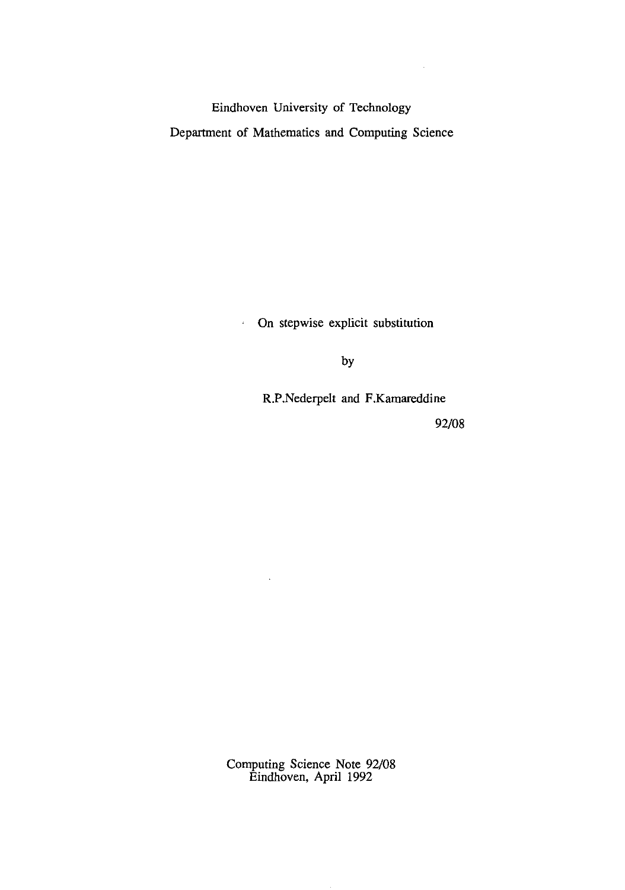Eindhoven University of Technology Department of Mathematics and Computing Science

> On stepwise explicit substitution  $\hat{A}^{\pm}$

> > by

R.P.Nederpelt and F.Kamareddine

92/08

 $\sim$ 

Computing Science Note 92/08 Eindhoven, April 1992

 $\bar{\mathcal{A}}$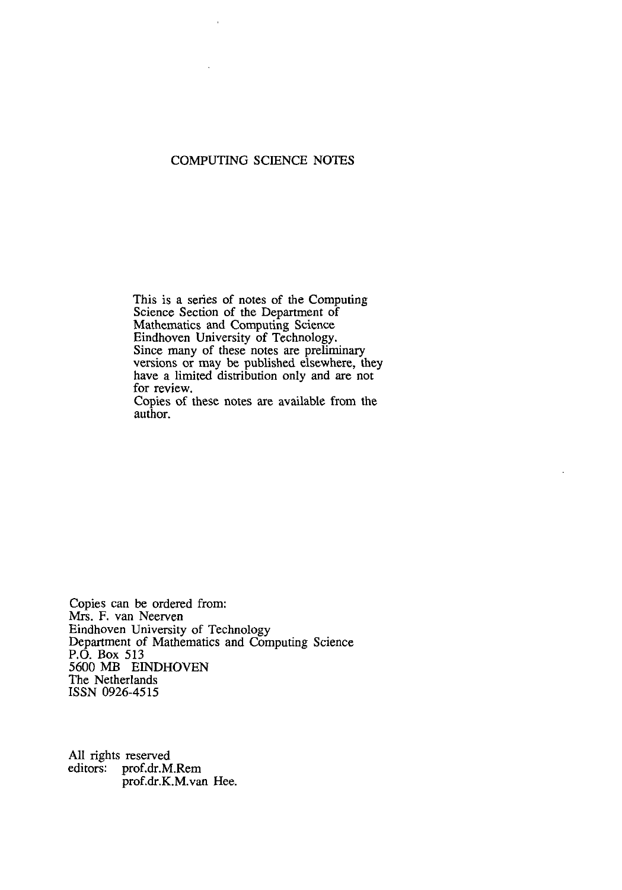## COMPUTING SCIENCE NOTES

This is a series of notes of the Computing Science Section of the Department of Mathematics and Computing Science Eindhoven University of Technology. Since many of these notes are preliminary versions or may be published elsewhere, they have a limited distribution only and are not for review.

Copies of these notes are available from the author.

Copies can be ordered from: Mrs. F. van Neerven Eindhoven University of Technology Department of Mathematics and Computing Science P.O. Box 513 5600 MB EINDHOVEN The Netherlands ISSN 0926-4515

All rights reserved editors: prof.dr.M.Rem prof.dr.K.M. van Hee.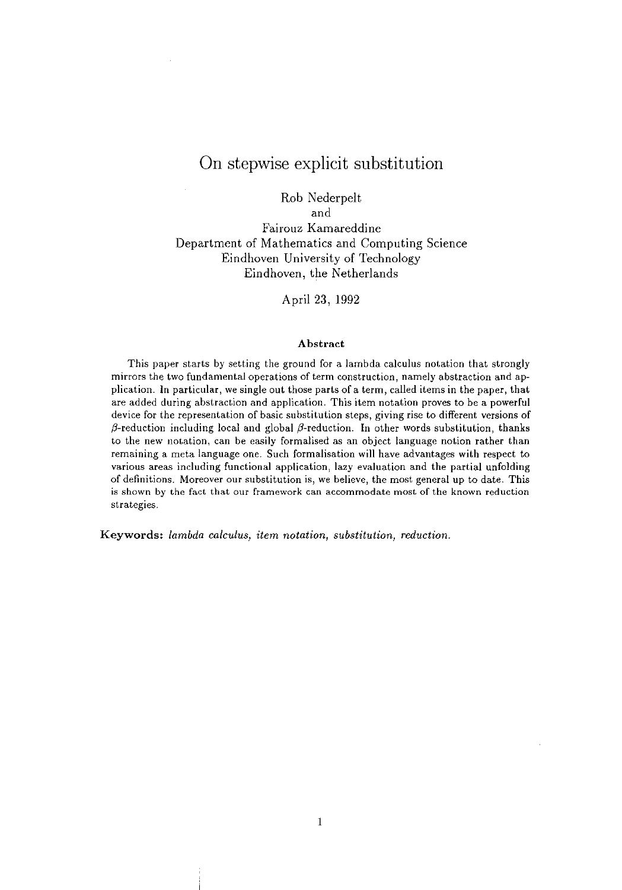# On stepwise explicit substitution

Rob Nederpelt

and

Fairouz Kamareddine Department of Mathematics and Computing Science Eindhoven University of Technology Eindhoven, the Netherlands

April 23, 1992

#### Abstract

This paper starts by setting the ground for a lambda calculus notation that strongly mirrors the two fundamental operations of term construction) namely abstraction and application. In particular, we single out those parts of a term, called items in the paper, that are added during abstraction and application. This item notation proves to be a powerful device for the representation of basic substitution steps, giving rise to different versions of  $\beta$ -reduction including local and global  $\beta$ -reduction. In other words substitution, thanks to the new notation, can be easily formalised as an object language notion rather than remaining a meta language one. Such formalisation will have advantages with respect to various areas including functional application, lazy evaluation and the partial unfolding of definitions. Moreover our substitution is, we believe, the most general up to date. This is shown by the fact that our framework can accommodate most of the known reduction strategies.

Keywords: *lambda calculus, item notation, substitution, reduction.*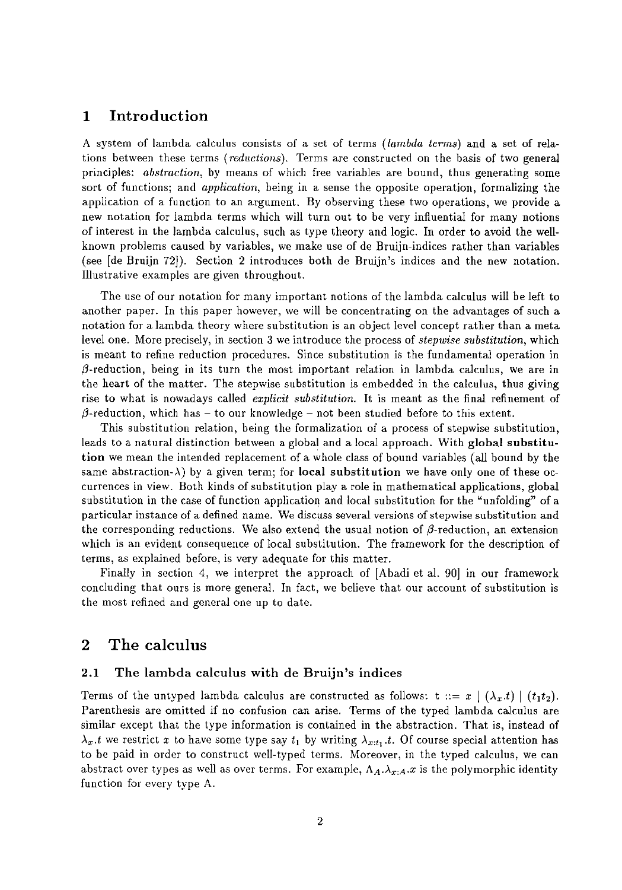## **1 Introduction**

A system of lambda calculus consists of a set of terms *(lambda terms)* and a set of relations between these terms *(reductions).* Terms are constructed on the basis of two general principles: *abstraction,* by means of which free variables are bound, thus generating some sort of functions; and *application,* being in a sense the opposite operation, formalizing the application of a function to an argument. By observing these two operations, we provide a new notation for lambda terms which will turn out to be very influential for many notions of interest in the lambda calculus, such as type theory and logic. In order to avoid the wellknown problems caused by variables, we make use of de Bruijn-indices rather than variables (see [de Bruijn 72]). Section 2 introduces both de Bruijn's indices and the new notation. Illustrative examples are given throughout.

The use of our notation for many important notions of the lambda calculus will be left to another paper. In this paper however, we will be concentrating on the advantages of such a notation for a lambda theory where substitution is an object level concept rather than a meta level one. More precisely, in section 3 we introduce the process of *stepwise substitution,* which is meant to refine reduction procedures. Since substitution is the fundamental operation in  $\beta$ -reduction, being in its turn the most important relation in lambda calculus, we are in the heart of the matter. The stepwise substitution is embedded in the calculus, thus giving rise to what is nowadays called *explicit substitution.* It is meant as the final refinement of  $\beta$ -reduction, which has - to our knowledge - not been studied before to this extent.

This substitution relation, being the formalization of a process of stepwise substitution, leads to a natural distinction between a global and a local approach. With global substitution we mean the intended replacement of a whole class of bonnd variables (all bound by the same abstraction- $\lambda$ ) by a given term; for **local substitution** we have only one of these occurrences in view. Both kinds of substitution playa role in mathematical applications, global substitution in the case of function application and local substitution for the "unfolding" of a particular instance of a defined name. We discuss several versions of stepwise substitution and the corresponding reductions. We also extend the usual notion of  $\beta$ -reduction, an extension which is an evident consequence of local substitution. The framework for the description of terms, as explained before, is very adequate for this matter.

Finally in section 4, we interpret the approach of [Abadi et al. 90] in our framework concluding that ours is more general. In fact, we believe that our account of substitution is the most refined and general one up to date.

## 2 **The calculus**

## 2.1 The lambda calculus with de Bruijn's indices

Terms of the untyped lambda calculus are constructed as follows:  $t ::= x \mid (\lambda_x.t) \mid (t_1t_2)$ . Parenthesis are omitted if no confusion can arise. Terms of the typed lambda calculus are similar except that the type information is contained in the abstraction. That is, instead of  $\lambda_x$ .t we restrict x to have some type say  $t_1$  by writing  $\lambda_{x:t_1}$ .t. Of course special attention has to be paid in order to construct well-typed terms. Moreover, in the typed calculus, we can abstract over types as well as over terms. For example,  $\Lambda_A \Lambda_{x:A} .x$  is the polymorphic identity function for every type A.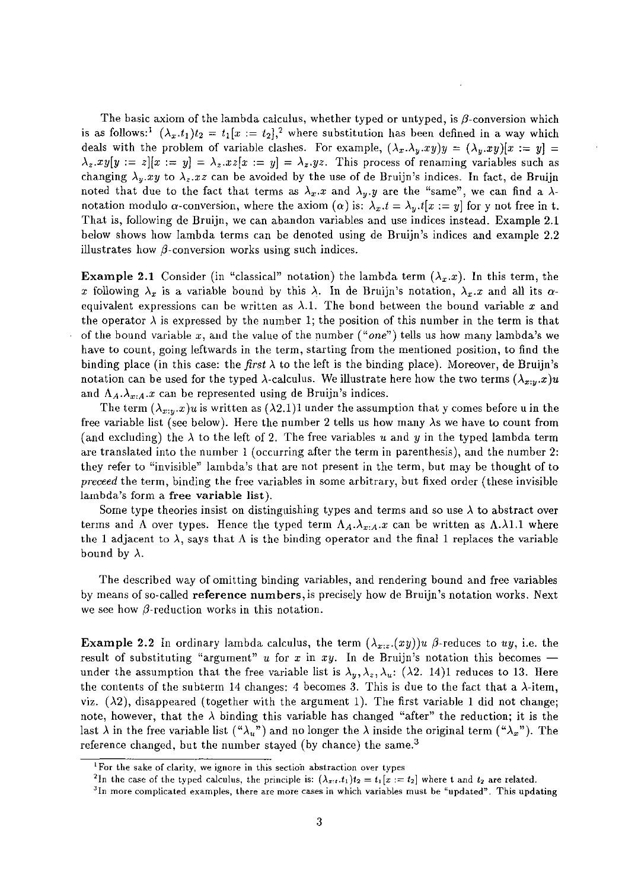The basic axiom of the lambda calculus, whether typed or untyped, is  $\beta$ -conversion which is as follows:<sup>1</sup>  $(\lambda_x \cdot t_1)t_2 = t_1[x := t_2],^2$  where substitution has been defined in a way which deals with the problem of variable clashes. For example,  $(\lambda_x \lambda_y \cdot xy)y = (\lambda_y \cdot xy)[x := y] =$  $\lambda_z \, xy[y := z][x := y] = \lambda_z \, xz[x := y] = \lambda_z \, yz$ . This process of renaming variables such as changing  $\lambda_y .xy$  to  $\lambda_z .xz$  can be avoided by the use of de Bruijn's indices. In fact, de Bruijn noted that due to the fact that terms as  $\lambda_x \cdot x$  and  $\lambda_y \cdot y$  are the "same", we can find a  $\lambda$ notation modulo  $\alpha$ -conversion, where the axiom  $(\alpha)$  is:  $\lambda_x.t = \lambda_y.t[x := y]$  for y not free in t. That is, following de Bruijn, we can abandon variables and use indices instead. Example 2.1 below shows how lambda terms can be denoted using de Bruijn's indices and example 2.2 illustrates how  $\beta$ -conversion works using such indices.

**Example 2.1** Consider (in "classical" notation) the lambda term  $(\lambda_x.x)$ . In this term, the x following  $\lambda_x$  is a variable bound by this  $\lambda$ . In de Bruijn's notation,  $\lambda_x.x$  and all its  $\alpha$ equivalent expressions can be written as  $\lambda.1$ . The bond between the bound variable x and the operator  $\lambda$  is expressed by the number 1; the position of this number in the term is that of the bound variable *x,* and the value of the number *("one")* tells us how many lambda's we have to count, going leftwards in the term, starting from the mentioned position, to find the binding place (in this case: the *first*  $\lambda$  to the left is the binding place). Moreover, de Bruijn's notation can be used for the typed  $\lambda$ -calculus. We illustrate here how the two terms  $(\lambda_{x,y}.x)u$ and  $\Lambda_A \Lambda_{x:A} x$  can be represented using de Bruijn's indices.

The term  $(\lambda_{x:y}.x)u$  is written as  $(\lambda_{2.1})1$  under the assumption that y comes before u in the free variable list (see below). Here the number 2 tells us how many  $\lambda s$  we have to count from (and excluding) the  $\lambda$  to the left of 2. The free variables *u* and *y* in the typed lambda term are translated into the number 1 (occurring after the term in parenthesis), and the number 2: they refer to "invisible" lambda's that are not present in the term, but may be thought of to *preceed* the term, binding the free variables in some arbitrary, but fixed order (these invisible lambda's form a free variable list).

Some type theories insist on distinguishing types and terms and so use  $\lambda$  to abstract over terms and A over types. Hence the typed term  $A_A.\lambda_{x:A}.x$  can be written as  $A.\lambda 1.1$  where the 1 adjacent to  $\lambda$ , says that A is the binding operator and the final 1 replaces the variable bound by  $\lambda$ .

The described way of omitting binding variables, and rendering bound and free variables by means of so-called reference numbers, is precisely how de Bruijn's notation works. Next we see how  $\beta$ -reduction works in this notation.

Example 2.2 In ordinary lambda calculus, the term  $(\lambda_{x,z}(xy))u$   $\beta$ -reduces to *uy*, i.e. the result of substituting "argument"  $u$  for  $x$  in  $xy$ . In de Bruijn's notation this becomes under the assumption that the free variable list is  $\lambda_y, \lambda_z, \lambda_u$ : ( $\lambda$ 2. 14)1 reduces to 13. Here the contents of the subterm 14 changes: 4 becomes 3. This is due to the fact that a  $\lambda$ -item, viz.  $(\lambda 2)$ , disappeared (together with the argument 1). The first variable 1 did not change; note, however, that the  $\lambda$  binding this variable has changed "after" the reduction; it is the last  $\lambda$  in the free variable list (" $\lambda_u$ ") and no longer the  $\lambda$  inside the original term (" $\lambda_x$ "). The reference changed, but the number stayed (by chance) the same. $3$ 

**<sup>1</sup>For the sake of clarity, we ignore in this section abstraction over types** 

**<sup>2</sup>In the case of the typed calculus, the principle is:**  $(\lambda_x, t, t_1)t_2 = t_1[x := t_2]$  where **t** and  $t_2$  are related.

**<sup>3</sup>In more complicated examples, there are more cases in which variables must be "updated". This updating**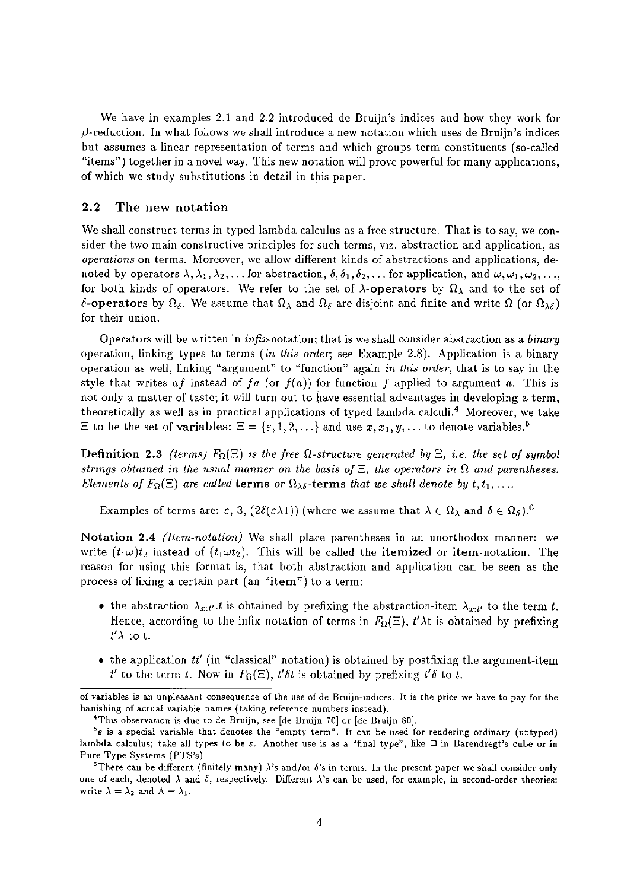We have in examples 2.1 and 2.2 introduced de Bruijn's indices and how they work for  $\beta$ -reduction. In what follows we shall introduce a new notation which uses de Bruijn's indices but assumes a linear representation of terms and which groups term constituents (so-called "items") together in a novel way. This new notation will prove powerful for many applications, of which we study substitutions in detail in this paper.

## 2.2 The new notation

We shall construct terms in typed lambda calculus as a free structure. That is to say, we consider the two main constructive principles for such terms, viz. abstraction and application, as *operations* on terms. Moreover, we allow different kinds of abstractions and applications, denoted by operators  $\lambda, \lambda_1, \lambda_2, \ldots$  for abstraction,  $\delta, \delta_1, \delta_2, \ldots$  for application, and  $\omega, \omega_1, \omega_2, \ldots$ for both kinds of operators. We refer to the set of  $\lambda$ -operators by  $\Omega_{\lambda}$  and to the set of 6-operators by  $\Omega_{\delta}$ . We assume that  $\Omega_{\lambda}$  and  $\Omega_{\delta}$  are disjoint and finite and write  $\Omega$  (or  $\Omega_{\lambda\delta}$ ) for their union.

Operators will be written in infix-notation; that is we shall consider abstraction as a *binary*  operation, linking types to terms *(in this order;* see Example 2.8). Application is a binary operation as well, linking "argument" to "function" again *in this order,* that is to say in the style that writes  $af$  instead of  $fa$  (or  $f(a)$ ) for function  $f$  applied to argument  $a$ . This is not only a matter of taste; it will turn out to have essential advantages in developing a term, theoretically as well as in practical applications of typed lambda calculi.4 Moreover, we take  $\Xi$  to be the set of variables:  $\Xi = \{\varepsilon, 1, 2, \ldots\}$  and use  $x, x_1, y, \ldots$  to denote variables.<sup>5</sup>

**Definition 2.3** *(terms)*  $F_{\Omega}(\Xi)$  *is the free*  $\Omega$ *-structure generated by*  $\Xi$ *, i.e. the set of symbol strings obtained in the usual manner on the basis of*  $\Xi$ , the operators in  $\Omega$  and parentheses. *Elements of F*<sub> $\Omega$ </sub>( $\Xi$ ) are called **terms** or  $\Omega_{\lambda\delta}$ -**terms** *that we shall denote by t,t*<sub>1</sub>,...

Examples of terms are:  $\varepsilon$ , 3,  $(2\delta(\varepsilon\lambda 1))$  (where we assume that  $\lambda \in \Omega_\lambda$  and  $\delta \in \Omega_\delta$ ).<sup>6</sup>

Notation 2.4 *(Item-notation)* We shall place parentheses in an unorthodox manner: we write  $(t_1\omega)t_2$  instead of  $(t_1\omega t_2)$ . This will be called the itemized or item-notation. The reason for using this format is, that both abstraction and application can be seen as the process of fixing a certain part (an "item") to a term:

- the abstraction  $\lambda_{x:t'}$ , *t* is obtained by prefixing the abstraction-item  $\lambda_{x:t'}$  to the term *t*. Hence, according to the infix notation of terms in  $F_{\Omega}(\Xi)$ ,  $t'\lambda t$  is obtained by prefixing  $t'$  $\lambda$  to t.
- the application *tt'* (in "classical" notation) is obtained by postfixing the argument-item *t'* to the term *t*. Now in  $F_{\Omega}(\Xi)$ ,  $t' \delta t$  is obtained by prefixing  $t' \delta$  to *t*.

of variables is an unpleasant consequence of the use of de Bruijn-indices. It is the price we have to pay for the banishing of actual variable names (taking reference numbers instead).

<sup>4</sup>This observation is due to de Bruijn, see [de Bruijn 70] or [de Bruijn 80].

 $5e$  is a special variable that denotes the "empty term". It can be used for rendering ordinary (untyped) lambda calculus; take all types to be  $\varepsilon$ . Another use is as a "final type", like  $\Box$  in Barendregt's cube or in Pure Type Systems (PTS's)

<sup>&</sup>lt;sup>6</sup>There can be different (finitely many)  $\lambda$ 's and/or  $\delta$ 's in terms. In the present paper we shall consider only one of each, denoted  $\lambda$  and  $\delta$ , respectively. Different  $\lambda$ 's can be used, for example, in second-order theories: write  $\lambda = \lambda_2$  and  $\Lambda = \lambda_1$ .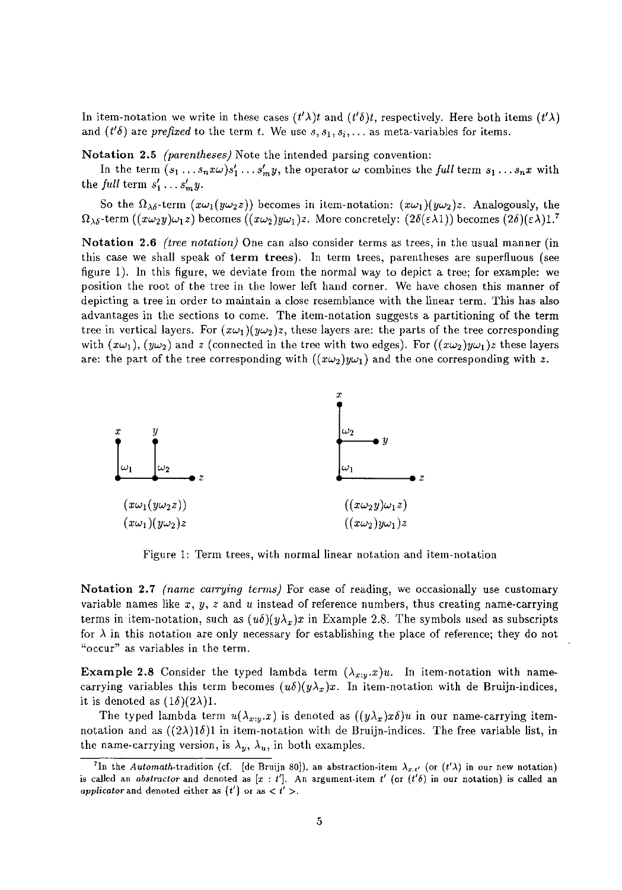In item-notation we write in these cases  $(t')$  and  $(t')$ , respectively. Here both items  $(t')$ . and  $(t' \delta)$  are *prefixed* to the term *t*. We use  $s, s_1, s_i, \ldots$  as meta-variables for items.

Notation 2.5 *(parentheses)* Note the intended parsing convention:

In the term  $(s_1 \ldots s_n x \omega) s'_1 \ldots s'_m y$ , the operator  $\omega$  combines the *full* term  $s_1 \ldots s_n x$  with the *full* term  $s'_1 \ldots s'_m y$ .

So the  $\Omega_{\lambda\delta}$ -term  $(x\omega_1(y\omega_2z))$  becomes in item-notation:  $(x\omega_1)(y\omega_2)z$ . Analogously, the  $\Omega_{\lambda\delta}$ -term  $((x\omega_2y)\omega_1z)$  becomes  $((x\omega_2)y\omega_1)z$ . More concretely:  $(2\delta(\epsilon\lambda1))$  becomes  $(2\delta)(\epsilon\lambda)1$ .<sup>7</sup>

Notation 2.6 *(tree notation)* One can also consider terms as trees, in the usual manner (in this case we shall speak of term trees). In term trees, parentheses are superfluous (see figure 1). In this figure, we deviate from the normal way to depict a tree; for example: we position the root of the tree in the lower left hand corner. We have chosen this manner of depicting a tree in order to maintain a close resemblance with the linear term. This has also advantages in the sections to come. The item-notation suggests a partitioning of the term tree in vertical layers. For  $(x\omega_1)(y\omega_2)z$ , these layers are: the parts of the tree corresponding with  $(x\omega_1)$ ,  $(y\omega_2)$  and z (connected in the tree with two edges). For  $((x\omega_2)y\omega_1)z$  these layers are: the part of the tree corresponding with  $((x\omega_2)y\omega_1)$  and the one corresponding with z.



Figure 1: Term trees, with normal linear notation and item-notation

Notation 2.7 *(name carrying terms)* For ease of reading, we occasionally use customary variable names like *x, y, z* and *u* instead of reference numbers, thus creating name-carrying terms in item-notation, such as  $(u\delta)(y\lambda_x)x$  in Example 2.8. The symbols used as subscripts for  $\lambda$  in this notation are only necessary for establishing the place of reference; they do not **"occur" as variables in the term.** 

**Example 2.8** Consider the typed lambda term  $(\lambda_{x,y}.x)u$ . In item-notation with namecarrying variables this term becomes  $(u\delta)(y\lambda_x)x$ . In item-notation with de Bruijn-indices, it is denoted as  $(1\delta)(2\lambda)$ 1.

The typed lambda term  $u(\lambda_{x:y}.x)$  is denoted as  $((y\lambda_x)x\delta)u$  in our name-carrying itemnotation and as  $((2\lambda)1\delta)1$  in item-notation with de Bruijn-indices. The free variable list, in the name-carrying version, is  $\lambda_y$ ,  $\lambda_u$ , in both examples.

<sup>&</sup>lt;sup>7</sup>In the *Automath*-tradition (cf. [de Bruijn 80]), an abstraction-item  $\lambda_{x:t'}$  (or  $(t'\lambda)$  in our new notation) is called an *abstractor* and denoted as  $[x : t']$ . An argument-item  $t'$  (or  $(t' \delta)$  in our notation) is called an applicator and denoted either as  $\{t'\}$  or as  $\langle t' \rangle$ .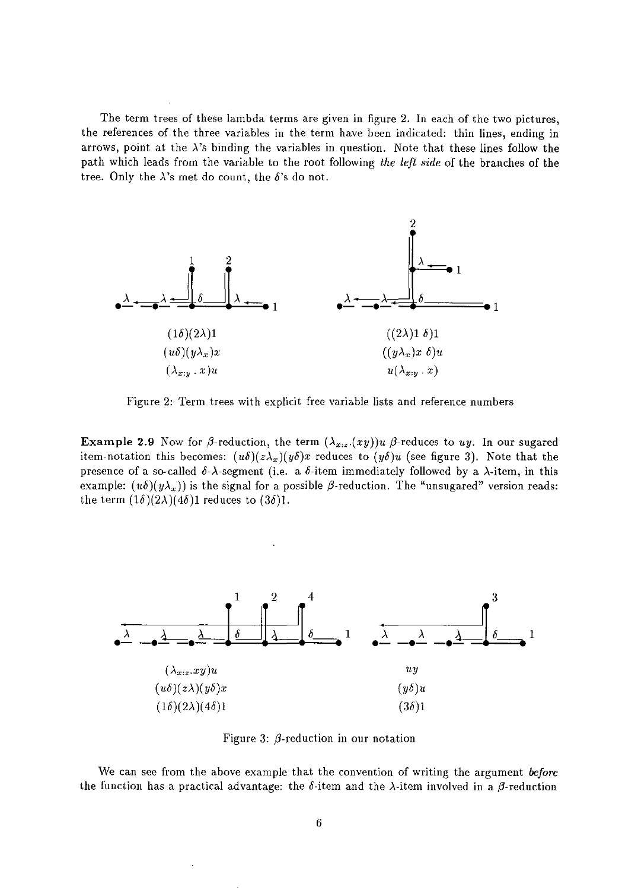The term trees of these lambda terms are given in figure 2. In each of the two pictures, the references of the three variables in the term have been indicated: thin lines, ending in arrows, point at the  $\lambda$ 's binding the variables in question. Note that these lines follow the path which leads from the variable to the root following *the left side* of the branches of the tree. Only the  $\lambda$ 's met do count, the  $\delta$ 's do not.



Figure 2: Term trees with explicit free variable lists and reference numbers

**Example 2.9** Now for  $\beta$ -reduction, the term  $(\lambda_{x,z}(xy))u$   $\beta$ -reduces to uy. In our sugared item-notation this becomes:  $(u\delta)(z\lambda_x)(y\delta)x$  reduces to  $(y\delta)u$  (see figure 3). Note that the presence of a so-called  $\delta$ - $\lambda$ -segment (i.e. a  $\delta$ -item immediately followed by a  $\lambda$ -item, in this example:  $(u\delta)(y\lambda_x)$  is the signal for a possible  $\beta$ -reduction. The "unsugared" version reads: the term  $(1\delta)(2\lambda)(4\delta)1$  reduces to  $(3\delta)1$ .



Figure 3:  $\beta$ -reduction in our notation

We can see from the above example that the convention of writing the argument *before*  the function has a practical advantage: the  $\delta$ -item and the  $\lambda$ -item involved in a  $\beta$ -reduction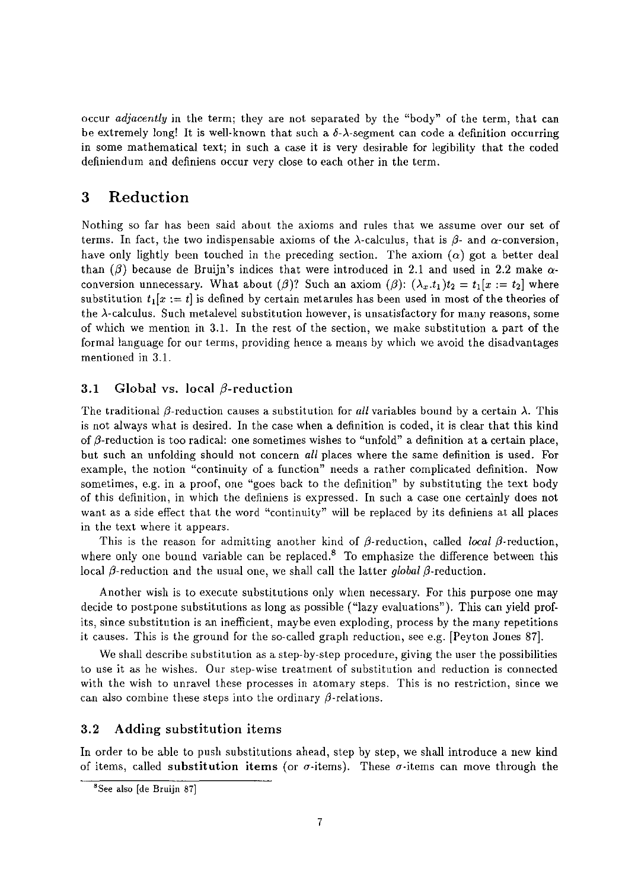occur *adjacently* in the term; they are not separated by the "body" of the term, that can be extremely long! It is well-known that such a  $\delta-\lambda$ -segment can code a definition occurring in some mathematical text; in such a case it is very desirable for legibility that the coded definiendum and definiens occur very close to each other in the term.

# 3 **Reduction**

Nothing so far has been said about the axioms and rules that we assume over our set of terms. In fact, the two indispensable axioms of the  $\lambda$ -calculus, that is  $\beta$ - and  $\alpha$ -conversion, have only lightly been touched in the preceding section. The axiom  $(\alpha)$  got a better deal than ( $\beta$ ) because de Bruijn's indices that were introduced in 2.1 and used in 2.2 make  $\alpha$ conversion unnecessary. What about ( $\beta$ )? Such an axiom ( $\beta$ ):  $(\lambda_x \cdot t_1)t_2 = t_1[x := t_2]$  where substitution  $t_1[x := t]$  is defined by certain metarules has been used in most of the theories of the  $\lambda$ -calculus. Such metalevel substitution however, is unsatisfactory for many reasons, some of which we mention in 3.1. In the rest of the section, we make substitution a part of the formal language for our terms, providing hence a means by which we avoid the disadvantages mentioned in 3.1.

## 3.1 Global vs. local  $\beta$ -reduction

The traditional  $\beta$ -reduction causes a substitution for *all* variables bound by a certain  $\lambda$ . This is not always what is desired. In the case when a definition is coded, it is clear that this kind of  $\beta$ -reduction is too radical: one sometimes wishes to "unfold" a definition at a certain place, but such an unfolding should not concern *all* places where the same definition is used. For example, the notion "continuity of a function" needs a rather complicated definition. Now sometimes, e.g. in a proof, one "goes back to the definition" by substituting the text body of this definition, in which the definiens is expressed. In such a case one certainly does not want as a side effect that the word "continuity" will be replaced by its definiens at all places in the text where it appears.

This is the reason for admitting another kind of  $\beta$ -reduction, called *local*  $\beta$ -reduction, where only one bound variable can be replaced.<sup>8</sup> To emphasize the difference between this local  $\beta$ -reduction and the usual one, we shall call the latter *global*  $\beta$ -reduction.

Another wish is to execute substitutions only when necessary. For this purpose one may decide to postpone substitutions as long as possible ("lazy evaluations"). This can yield profits, since substitution is an inefficient, maybe even exploding, process by the many repetitions it causes. This is the ground for the so-called graph reduction, see e.g. [Peyton Jones 87].

We shall describe substitution as a step-by-step procedure, giving the user the possibilities to use it as he wishes. Our step-wise treatment of substitution and reduction is connected with the wish to unravel these processes in atomary steps. This is no restriction, since we can also combine these steps into the ordinary  $\beta$ -relations.

## 3.2 Adding substitution items

In order to be able to push substitutions ahead, step by step, we shall introduce a new kind of items, called substitution items (or  $\sigma$ -items). These  $\sigma$ -items can move through the

**<sup>8</sup>See also [de Bruijn 87]**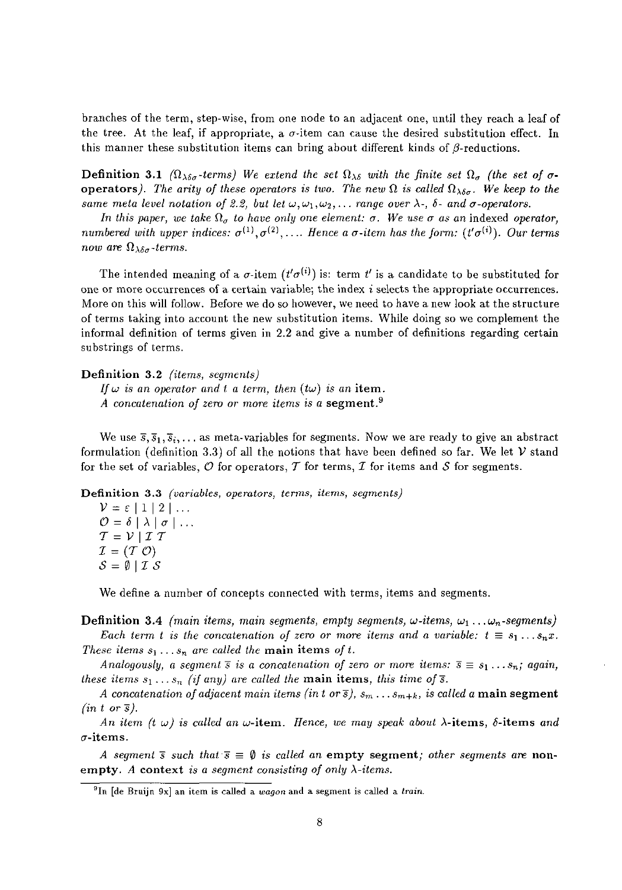branches of the term, step-wise, from one node to an adjacent one, until they reach a leaf of the tree. At the leaf, if appropriate, a  $\sigma$ -item can cause the desired substitution effect. In this manner these substitution items can bring about different kinds of  $\beta$ -reductions.

**Definition 3.1** ( $\Omega_{\lambda\delta\sigma}$ -terms) We extend the set  $\Omega_{\lambda\delta}$  with the finite set  $\Omega_{\sigma}$  (the set of  $\sigma$ operators). The arity of these operators is two. The new  $\Omega$  is called  $\Omega_{\lambda\delta\sigma}$ . We keep to the *same meta level notation of 2.2, but let*  $\omega, \omega_1, \omega_2, \ldots$  *range over*  $\lambda$ -,  $\delta$ - *and*  $\sigma$ *-operators.* 

*In this paper, we take*  $\Omega_{\sigma}$  *to have only one element:*  $\sigma$ *. We use*  $\sigma$  *as an* indexed *operator, numbered with upper indices:*  $\sigma^{(1)}, \sigma^{(2)}, \ldots$  *Hence a*  $\sigma$ *-item has the form:*  $(t'\sigma^{(i)})$ *. Our terms now are*  $\Omega_{\lambda\delta\sigma}$ *-terms.* 

The intended meaning of a  $\sigma$ -item  $(t'\sigma^{(i)})$  is: term  $t'$  is a candidate to be substituted for one or more occurrences of a certain variable; the index  $i$  selects the appropriate occurrences. More on this will follow. Before we do so however, we need to have a new look at the structure of terms taking into account the new substitution items. While doing so we complement the informal definition of terms given in 2.2 and give a number of definitions regarding certain substrings of terms.

#### Definition 3.2 *(items, segments)*

*If*  $\omega$  *is an operator and t a term, then (tw) is an item. A concatenation of zero* or *more items is a* segment.9

We use  $\bar{s}, \bar{s}_1, \bar{s}_2, \ldots$  as meta-variables for segments. Now we are ready to give an abstract formulation (definition 3.3) of all the notions that have been defined so far. We let *V* stand for the set of variables,  $\mathcal O$  for operators,  $\mathcal T$  for terms,  $\mathcal I$  for items and  $\mathcal S$  for segments.

**Definition 3.3** *(variables, operators, tenns, items, segments)* 

 $V=\varepsilon\mid1\mid2\mid...$  $\mathcal{O}=\delta\mid\lambda\mid\sigma\mid\ldots$  $T = V | T T$  $I = (T \mathcal{O})$  $S=\emptyset$  | I  $S$ 

We define a number of concepts connected with terms, items and segments.

**Definition 3.4** *(main items, main segments, empty segments,*  $\omega$ *-items,*  $\omega_1 \dots \omega_n$ *-segments) Each term t is the concatenation of zero or more items and a variable:*  $t \equiv s_1 \ldots s_n x$ . *These items*  $s_1 \ldots s_n$  *are called the main items of t.* 

*Analogously, a segment*  $\overline{s}$  *is a concatenation of zero or more items:*  $\overline{s} \equiv s_1 \ldots s_n$ ; *again, these items*  $s_1 \ldots s_n$  (if any) are called the **main items**, this time of  $\overline{s}$ .

*A concatenation of adjacent main items (in t or*  $\overline{s}$ *),*  $s_m \ldots s_{m+k}$ *, is called a main segment*  $(in t \text{ or } \overline{s}).$ 

*An item (t w) is called an w*-item. *Hence, we may speak about*  $\lambda$ -items,  $\delta$ -items *and*  $\sigma$ -items.

*A segment*  $\overline{s}$  *such that*  $\overline{s} \equiv \emptyset$  *is called an* empty segment; *other segments are* **non**empty. *A* context *is a segment consisting of only A-items.* 

<sup>9</sup>In [de Bruijn 9x] an item is called a *wagon* and a segment is called a *train.*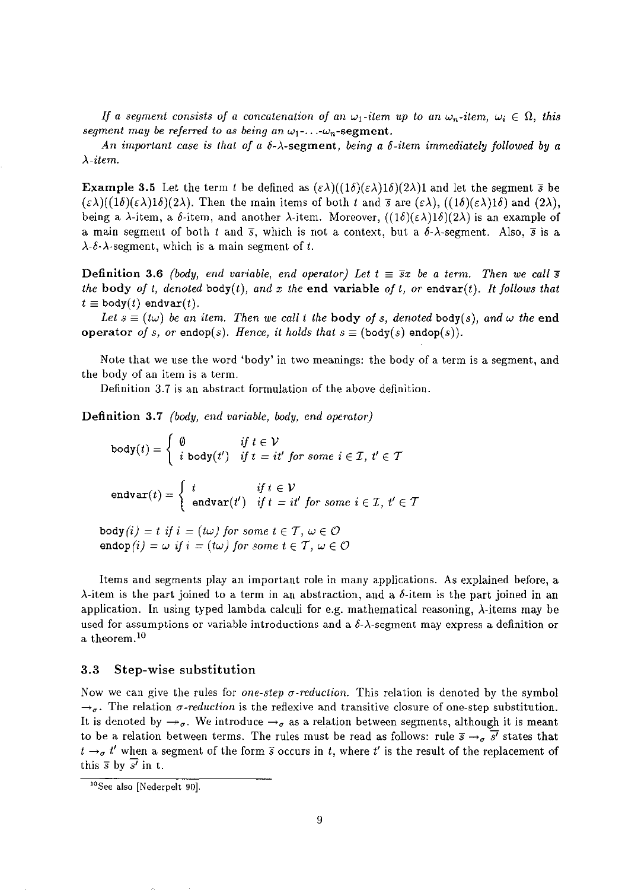*If a segment consists of a concatenation of an*  $\omega_1$ -*item up to an*  $\omega_n$ -*item,*  $\omega_i \in \Omega$ , *this segment may be referred to as being an*  $\omega_1$ -...- $\omega_n$ -segment.

*An important case* is *that of a* o-A-segment, *being* a *o-item immediately followed by a A-item.* 

**Example 3.5** Let the term *t* be defined as  $(\varepsilon \lambda)((1\delta)(\varepsilon \lambda)1\delta)(2\lambda)1$  and let the segment  $\bar{s}$  be  $(\varepsilon \lambda)((1\delta)(\varepsilon \lambda)1\delta)(2\lambda)$ . Then the main items of both *t* and  $\bar{s}$  are  $(\varepsilon \lambda)$ ,  $((1\delta)(\varepsilon \lambda)1\delta)$  and  $(2\lambda)$ , being a  $\lambda$ -item, a  $\delta$ -item, and another  $\lambda$ -item. Moreover,  $((1\delta)(\epsilon\lambda)1\delta)(2\lambda)$  is an example of a main segment of both *t* and  $\bar{s}$ , which is not a context, but a  $\delta$ - $\lambda$ -segment. Also,  $\bar{s}$  is a  $\lambda$ - $\delta$ - $\lambda$ -segment, which is a main segment of t.

**Definition 3.6** *(body, end variable, end operator) Let*  $t = \overline{s}x$  *be a term. Then we call*  $\overline{s}$ *the body of t, denoted body(t), and x the end variable of t, or endvar(t). It follows that*  $t \equiv$  body(t) endvar(t).

*Let*  $s \equiv (t\omega)$  be an item. Then we call t the **body** of s, denoted **body**(s), and  $\omega$  the **end** operator *of s, or* endop(s). *Hence, it holds that*  $s \equiv$  (body(s) endop(s)).

Note that we use the word 'body' in two meanings: the body of a term is a segment, and the body of an item is a term.

Definition 3.7 is an abstract formulation of the above definition.

Definition 3.7 *(body, end variable, body, end operator)* 

 $\texttt{body}(t) = \left\{ \begin{array}{ll} \emptyset & \textit{if } t \in \mathcal{V} \\ i \textit{body}(t') & \textit{if } t = it \end{array} \right.$ *if*  $t = it'$  for some  $i \in \mathcal{I}$ ,  $t' \in \mathcal{T}$  ${b} \circ d y(t) = \begin{cases} \begin{array}{c} v & \text{if } t \in V \\ i \text{ body}(t') & \text{if } t = it' \text{ for some } i \in \mathcal{I}, \ t' \in \mathcal{T} \end{array} \end{cases}$ <br>  ${\rm endvar}(t) = \begin{cases} \begin{array}{c} t & \text{if } t \in \mathcal{V} \\ \begin{array}{c} \text{endvar}(t') & \text{if } t = it' \text{ for some } i \in \mathcal{I}, \ t' \in \mathcal{T} \end{array} \end{cases}$ 

 $\text{body}(i) = t$  if  $i = (t\omega)$  for some  $t \in \mathcal{T}$ ,  $\omega \in \mathcal{O}$ endop $(i) = \omega$  *if*  $i = (i\omega)$  for some  $t \in \mathcal{T}$ ,  $\omega \in \mathcal{O}$ 

Items and segments play an important role in many applications. As explained before, a  $\lambda$ -item is the part joined to a term in an abstraction, and a  $\delta$ -item is the part joined in an application. In using typed lambda calculi for e.g. mathematical reasoning, A-items may be used for assumptions or variable introductions and a  $\delta$ - $\lambda$ -segment may express a definition or a theorem.I°

## 3.3 Step-wise substitution

Now we can give the rules for *one-step a-reduction.* This relation is denoted by the symbol  $\rightarrow_{\sigma}$ . The relation  $\sigma$ -reduction is the reflexive and transitive closure of one-step substitution. It is denoted by  $\rightarrow_{\sigma}$ . We introduce  $\rightarrow_{\sigma}$  as a relation between segments, although it is meant to be a relation between terms. The rules must be read as follows: rule  $\bar{s} \rightarrow_{\sigma} \bar{s'}$  states that  $t \rightarrow \sigma$  *t'* when a segment of the form *s* occurs in *t*, where *t'* is the result of the replacement of this  $\overline{s}$  by  $\overline{s'}$  in t.

<sup>&</sup>lt;sup>10</sup>See also [Nederpelt 90].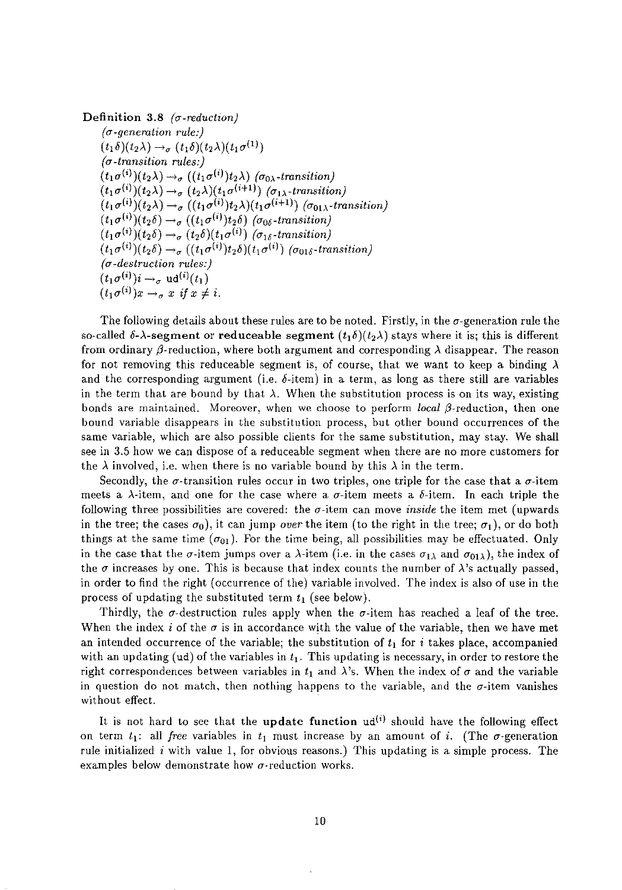Definition 3.8 *(a· reduction) (a.generation rule:)*   $(t_1\delta)(t_2\lambda) \rightarrow_\sigma (t_1\delta)(t_2\lambda)(t_1\sigma^{(1)})$ *(a-transition rules:)*   $(t_1\sigma^{(i)})(t_2\lambda) \rightarrow_{\sigma} (t_1\sigma^{(i)})t_2\lambda$  ( $\sigma_{0\lambda}$ -transition)  $(t_1\sigma^{(i)})(t_2\lambda) \rightarrow_\sigma (t_2\lambda)(t_1\sigma^{(i+1)})$  ( $\sigma_{1\lambda}$ -transition)  $(t_1\sigma^{(i)})(t_2\lambda) \rightarrow_\sigma ((t_1\sigma^{(i)})t_2\lambda)(t_1\sigma^{(i+1)})$  ( $\sigma_{01\lambda}$ -transition)  $(t_1\sigma^{(i)})(t_2\delta) \rightarrow_\sigma ((t_1\sigma^{(i)})t_2\delta)$  ( $\sigma_{0\delta}$ -transition)  $(t_1\sigma^{(i)})(t_2\delta) \rightarrow_\sigma (t_2\delta)(t_1\sigma^{(i)})$  ( $\sigma_{1\delta}$ -transition)  $(t_1\sigma^{(i)})(t_2\delta) \rightarrow_\sigma ((t_1\sigma^{(i)})t_2\delta)(t_1\sigma^{(i)})$  ( $\sigma_{01\delta}$ -transition) *(a-destruction rules:)*   $(t_1\sigma^{(i)})i\rightarrow_\sigma \text{ud}^{(i)}(t_1)$  $(t_1\sigma^{(i)})x \rightarrow_\sigma x$  *if*  $x \neq i$ .

The following details about these rules are to be noted. Firstly, in the  $\sigma$ -generation rule the so-called  $\delta$ - $\lambda$ -segment or reduceable segment  $(t_1\delta)(t_2\lambda)$  stays where it is; this is different from ordinary  $\beta$ -reduction, where both argument and corresponding  $\lambda$  disappear. The reason for not removing this reduceable segment is, of course, that we want to keep a binding  $\lambda$ and the corresponding argument (i.e.  $\delta$ -item) in a term, as long as there still are variables in the term that are bound by that  $\lambda$ . When the substitution process is on its way, existing bonds are maintained. Moreover, when we choose to perform *local*  $\beta$ *-reduction*, then one bound variable disappears in the substitution process, but other bound occurrences of the same variable, which are also possible clients for the same substitution, may stay. We shall see in 3.5 how we can dispose of a reduceable segment when there are no more customers for the  $\lambda$  involved, i.e. when there is no variable bound by this  $\lambda$  in the term.

Secondly, the  $\sigma$ -transition rules occur in two triples, one triple for the case that a  $\sigma$ -item meets a  $\lambda$ -item, and one for the case where a  $\sigma$ -item meets a  $\delta$ -item. In each triple the following three possibilities are covered: the  $\sigma$ -item can move *inside* the item met (upwards in the tree; the cases  $\sigma_0$ , it can jump *over* the item (to the right in the tree;  $\sigma_1$ ), or do both things at the same time  $(\sigma_{01})$ . For the time being, all possibilities may be effectuated. Only in the case that the  $\sigma$ -item jumps over a  $\lambda$ -item (i.e. in the cases  $\sigma_{1\lambda}$  and  $\sigma_{01\lambda}$ ), the index of the  $\sigma$  increases by one. This is because that index counts the number of  $\lambda$ 's actually passed, in order to find the right (occurrence of the) variable involved. The index is also of use in the process of updating the substituted term  $t_1$  (see below).

Thirdly, the  $\sigma$ -destruction rules apply when the  $\sigma$ -item has reached a leaf of the tree. When the index *i* of the  $\sigma$  is in accordance with the value of the variable, then we have met an intended occurrence of the variable; the substitution of  $t_1$  for i takes place, accompanied with an updating (ud) of the variables in  $t_1$ . This updating is necessary, in order to restore the right correspondences between variables in  $t_1$  and  $\lambda$ 's. When the index of  $\sigma$  and the variable in question do not match, then nothing happens to the variable, and the  $\sigma$ -item vanishes without effect.

It is not hard to see that the update function  $ud^{(i)}$  should have the following effect on term  $t_1$ : all *free* variables in  $t_1$  must increase by an amount of *i*. (The  $\sigma$ -generation rule initialized *i* with value 1, for obvious reasons.) This updating is a simple process. The examples below demonstrate how  $\sigma$ -reduction works.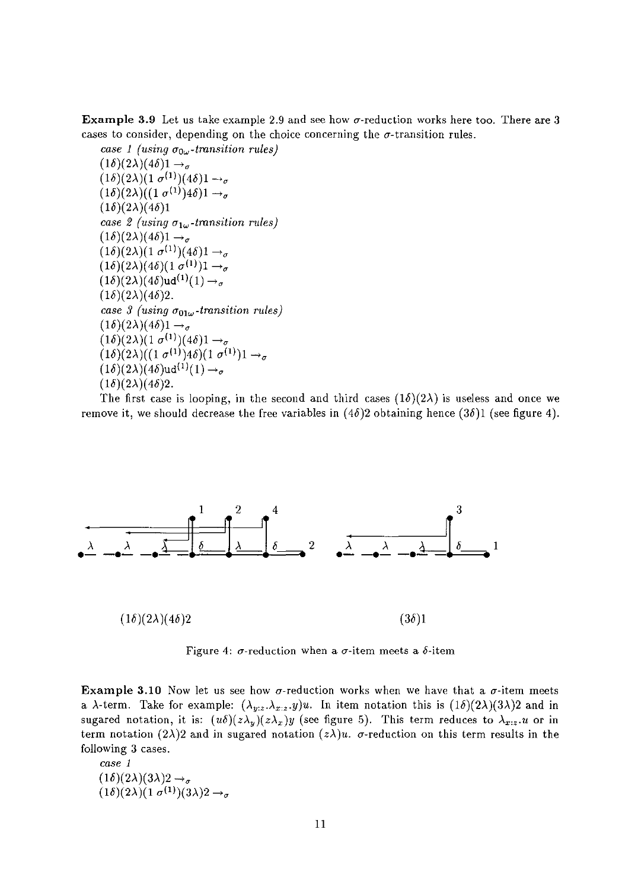**Example 3.9** Let us take example 2.9 and see how  $\sigma$ -reduction works here too. There are 3 cases to consider, depending on the choice concerning the  $\sigma$ -transition rules.

*case 1 (using*  $\sigma_{0\omega}$ *-transition rules)*  $(1\delta)(2\lambda)(4\delta)1\rightarrow_a$  $(1\delta)(2\lambda)(1 \sigma^{(1)})(4\delta)1 \rightarrow \sigma$  $(1\delta)(2\lambda)((1\sigma^{(1)})4\delta)1 \rightarrow a$  $(1\delta)(2\lambda)(4\delta)1$ *case 2 (using*  $\sigma_{1\omega}$ *-transition rules)*  $(1\delta)(2\lambda)(4\delta)1\rightarrow_{\sigma}$  $(1\delta)(2\lambda)(1\sigma^{(1)})(4\delta)1\rightarrow_{\sigma}$  $(1\delta)(2\lambda)(4\delta)(1\sigma^{(1)})1 \rightarrow \sigma$  $(1\delta)(2\lambda)(4\delta)$ ud<sup>(1</sup>)(1)  $\rightarrow$ <sub>a</sub>  $(1\delta)(2\lambda)(4\delta)2$ . *case 3 (using*  $\sigma_{01\omega}$ *-transition rules)*  $(1\delta)(2\lambda)(4\delta)1 \rightarrow_\sigma$  $(1\delta)(2\lambda)(1\sigma^{(1)})(4\delta)1\rightarrow_{\sigma}$  $(1\delta)(2\lambda)((1\sigma^{(1)})4\delta)(1\sigma^{(1)})1 \rightarrow \sigma$  $(1\delta)(2\lambda)(4\delta)$ ud<sup>(1)</sup>(1)  $\rightarrow_{\sigma}$  $(1\delta)(2\lambda)(4\delta)2$ .

The first case is looping, in the second and third cases  $(1\delta)(2\lambda)$  is useless and once we remove it, we should decrease the free variables in  $(4\delta)2$  obtaining hence  $(3\delta)1$  (see figure 4).



Figure 4:  $\sigma$ -reduction when a  $\sigma$ -item meets a  $\delta$ -item

**Example 3.10** Now let us see how  $\sigma$ -reduction works when we have that a  $\sigma$ -item meets a  $\lambda$ -term. Take for example:  $(\lambda_{y:z}.\lambda_{x:z}.y)u$ . In item notation this is  $(1\delta)(2\lambda)(3\lambda)2$  and in sugared notation, it is:  $(u\delta)(z\lambda_y)(z\lambda_x)y$  (see figure 5). This term reduces to  $\lambda_{x,z}.u$  or in term notation  $(2\lambda)2$  and in sugared notation  $(z\lambda)u$ .  $\sigma$ -reduction on this term results in the following 3 cases.

*case 1*   $(1\delta)(2\lambda)(3\lambda)2 \rightarrow_{\sigma}$  $(1\delta)(2\lambda)(1\sigma^{(1)})(3\lambda)2\rightarrow_\sigma$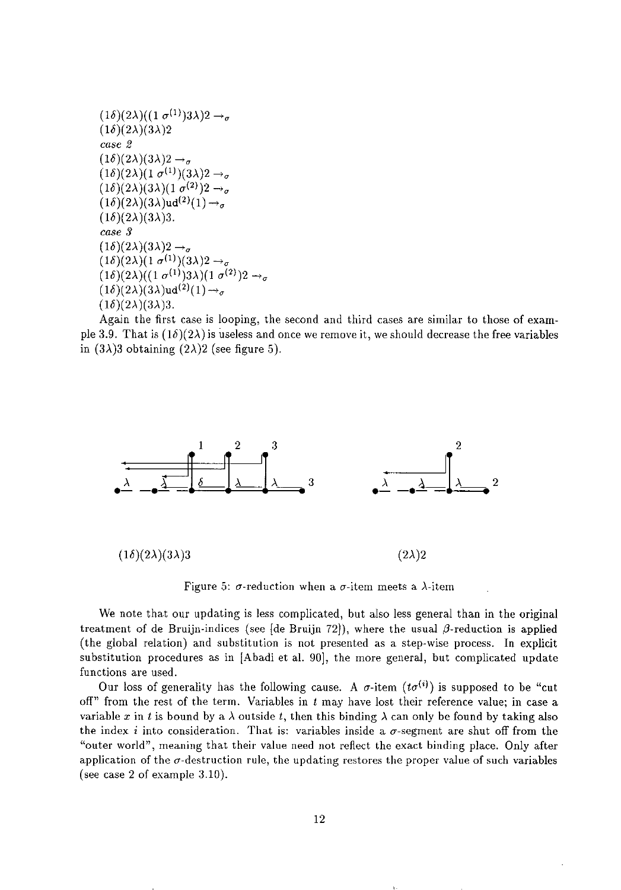```
(1\delta)(2\lambda)((1\sigma^{(1)})3\lambda)2\rightarrow_{\sigma}(1\delta)(2\lambda)(3\lambda)2case 2 
(1\delta)(2\lambda)(3\lambda)2 \rightarrow_{\sigma}(1\delta)(2\lambda)(1\sigma^{(1)})(3\lambda)2\rightarrow_{\sigma}(1\delta)(2\lambda)(3\lambda)(1 \sigma^{(2)})2 \rightarrow \sigma(1\delta)(2\lambda)(3\lambda)ud(2)(1) \rightarrow_{\sigma}(1\delta)(2\lambda)(3\lambda)3.
case 3 
(1\delta)(2\lambda)(3\lambda)2 \rightarrow(1\delta)(2\lambda)(1\sigma^{(1)})(3\lambda)2\rightarrow_{\sigma}(1\delta)(2\lambda)((1\sigma^{(1)})3\lambda)(1\sigma^{(2)})2\rightarrow_{\sigma}(1\delta)(2\lambda)(3\lambda)\text{ud}^{(2)}(1) \rightarrow_{\sigma}(1\delta)(2\lambda)(3\lambda)3.
```
Again the first case is looping, the second and third cases are similar to those of example 3.9. That is  $(1\delta)(2\lambda)$  is useless and once we remove it, we should decrease the free variables in  $(3\lambda)3$  obtaining  $(2\lambda)2$  (see figure 5).



Figure 5:  $\sigma$ -reduction when a  $\sigma$ -item meets a  $\lambda$ -item

We note that our updating is less complicated, but also less general than in the original treatment of de Bruijn-indices (see [de Bruijn 72]), where the usual  $\beta$ -reduction is applied (the global relation) and substitution is not presented as a step-wise process. In explicit substitution procedures as in [Abadi et al. 90], the more general, but complicated update functions are used.

Our loss of generality has the following cause. A  $\sigma$ -item  $(t\sigma^{(i)})$  is supposed to be "cut off" from the rest of the term. Variables in  $t$  may have lost their reference value; in case a variable x in t is bound by a  $\lambda$  outside t, then this binding  $\lambda$  can only be found by taking also the index i into consideration. That is: variables inside a  $\sigma$ -segment are shut off from the "outer world", meaning that their value need not reflect the exact binding place. Only after application of the  $\sigma$ -destruction rule, the updating restores the proper value of such variables (see case 2 of example 3.10).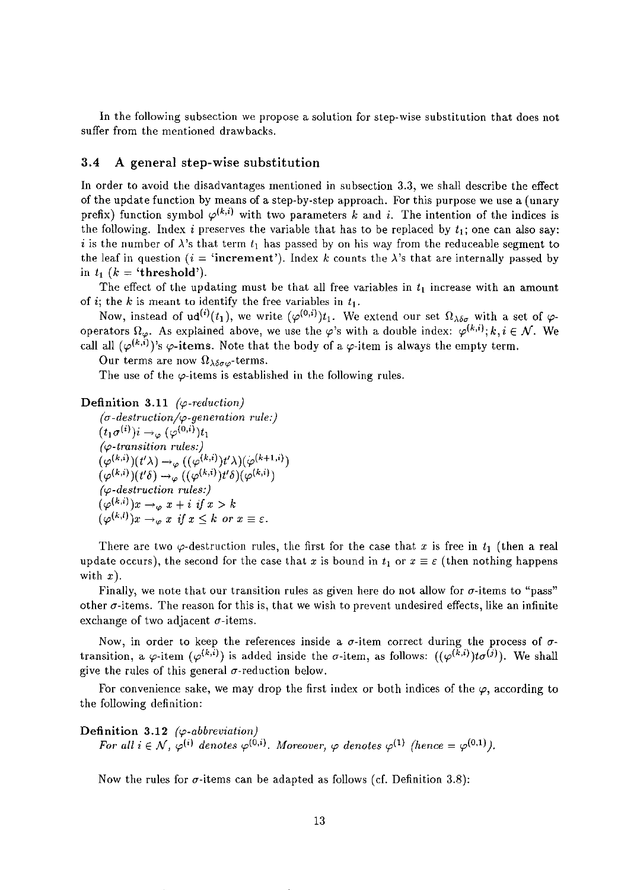In the following subsection we propose a solution for step-wise substitution that does not suffer from the mentioned drawbacks.

## 3.4 A general step-wise substitution

In order to avoid the disadvantages mentioned in subsection 3.3, we shall describe the effect of the update function by means of a step-by-step approach. For this purpose we use a (unary prefix) function symbol  $\varphi^{(k,i)}$  with two parameters k and i. The intention of the indices is the following. Index *i* preserves the variable that has to be replaced by  $t_1$ ; one can also say: i is the number of  $\lambda$ 's that term  $t_1$  has passed by on his way from the reduceable segment to the leaf in question ( $i =$  'increment'). Index k counts the  $\lambda$ 's that are internally passed by in  $t_1$   $(k = 'threshold').$ 

The effect of the updating must be that all free variables in  $t_1$  increase with an amount of *i*; the *k* is meant to identify the free variables in  $t_1$ .

Now, instead of  $ud^{(i)}(t_1)$ , we write  $(\varphi^{(0,i)})t_1$ . We extend our set  $\Omega_{\lambda\delta\sigma}$  with a set of  $\varphi$ operators  $\Omega_{\varphi}$ . As explained above, we use the  $\varphi$ 's with a double index:  $\varphi^{(k,i)}; k, i \in \mathcal{N}$ . We call all  $(\varphi^{(k,i)})$ 's  $\varphi$ -items. Note that the body of a  $\varphi$ -item is always the empty term.

Our terms are now  $\Omega_{\lambda\delta\sigma\omega}$ -terms.

The use of the  $\varphi$ -items is established in the following rules.

#### Definition 3.11 *(* $\varphi$ *-reduction)*

*(u-destruction/<p-genemtion rule:)*   $(t_1\sigma^{(i)})i\rightarrow_\omega(\varphi^{(0,i)})t_1$ *(<p-transition rules:)*   $(\varphi^{(k,i)})(t'\lambda) \rightarrow_{\varphi} ((\varphi^{(k,i)})t'\lambda)(\varphi^{(k+1,i)})$  $(\varphi^{(k,i)})(t'\delta) \rightarrow \varphi ((\varphi^{(k,i)})t'\delta)(\varphi^{(k,i)})$ *(<p-destruction rules:)*   $(\varphi^{(k,i)})x \rightarrow_{\varphi} x + i \text{ if } x > k$  $(\varphi^{(k,l)})x \rightarrow_{\varphi} x \text{ if } x \leq k \text{ or } x \equiv \varepsilon.$ 

There are two  $\varphi$ -destruction rules, the first for the case that *x* is free in  $t_1$  (then a real update occurs), the second for the case that *x* is bound in  $t_1$  or  $x \equiv \varepsilon$  (then nothing happens with *x).* 

Finally, we note that our transition rules as given here do not allow for  $\sigma$ -items to "pass" other  $\sigma$ -items. The reason for this is, that we wish to prevent undesired effects, like an infinite exchange of two adjacent  $\sigma$ -items.

Now, in order to keep the references inside a  $\sigma$ -item correct during the process of  $\sigma$ transition, a  $\varphi$ -item  $(\varphi^{(k,i)})$  is added inside the  $\sigma$ -item, as follows:  $((\varphi^{(k,i)})t\sigma^{(j)})$ . We shall give the rules of this general  $\sigma$ -reduction below.

For convenience sake, we may drop the first index or both indices of the  $\varphi$ , according to the following definition:

## Definition 3.12 *(* $\varphi$ *-abbreviation)*

*For all i*  $\in \mathcal{N}$ ,  $\varphi^{(i)}$  denotes  $\varphi^{(0,i)}$ . Moreover,  $\varphi$  denotes  $\varphi^{(1)}$  (hence =  $\varphi^{(0,1)}$ ).

Now the rules for  $\sigma$ -items can be adapted as follows (cf. Definition 3.8):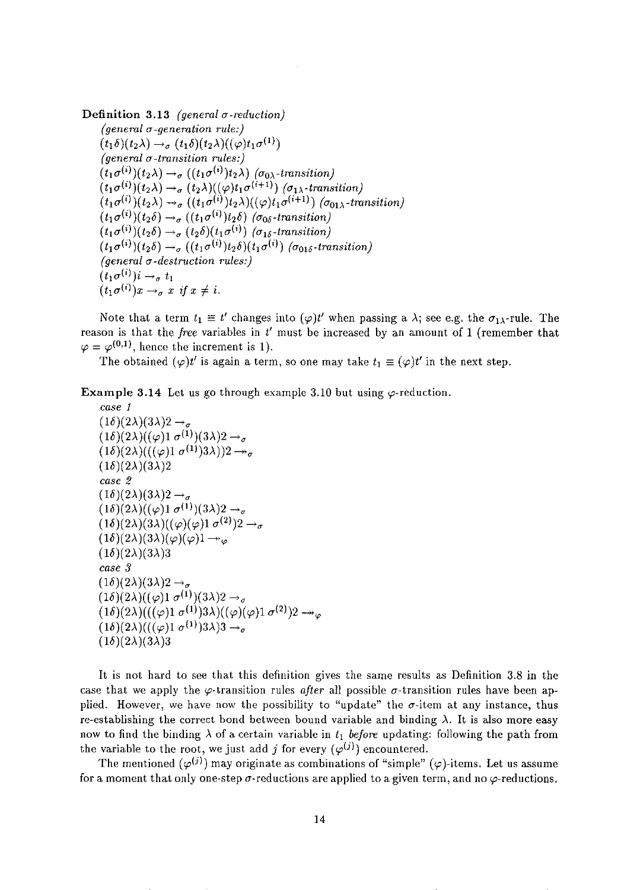**Definition 3.13** *(general a-reduction) (general a-generation rule:)*   $(t_1\delta)(t_2\lambda) \rightarrow_\sigma (t_1\delta)(t_2\lambda)((\varphi)t_1\sigma^{(1)})$ *(general a-transition rules:)*   $(t_1\sigma^{(i)})(t_2\lambda) \rightarrow_\sigma ((t_1\sigma^{(i)})t_2\lambda)$  ( $\sigma_{0\lambda}$ -transition)  $(t_1\sigma^{(i)})(t_2\lambda) \rightarrow_\sigma (t_2\lambda)((\varphi)t_1\sigma^{(i+1)})$  ( $\sigma_1\lambda$ -transition)  $(t_1\sigma^{(i)})(t_2\lambda) \rightarrow_\sigma ((t_1\sigma^{(i)})t_2\lambda)((\varphi)t_1\sigma^{(i+1)})$  ( $\sigma_{01\lambda}$ -transition)  $(t_1\sigma^{(i)})(t_2\delta) \rightarrow_\sigma ((t_1\sigma^{(i)})t_2\delta)$  ( $\sigma_{0\delta}$ -transition)  $(t_1\sigma^{(i)})(t_2\delta) \rightarrow_\sigma (t_2\delta)(t_1\sigma^{(i)})$  ( $\sigma_{1\delta}$ -transition)  $(t_1\sigma^{(i)})(t_2\delta) \rightarrow_\sigma ((t_1\sigma^{(i)})t_2\delta)(t_1\sigma^{(i)})$  ( $\sigma_{01\delta}$ -transition) *(general a-destruction rules:)*   $(t_1\sigma^{(i)})i\rightarrow_\sigma t_1$  $(t_1\sigma^{(i)})x \rightarrow_\sigma x$  *if*  $x \neq i$ .

Note that a term  $t_1 \equiv t'$  changes into  $(\varphi)t'$  when passing a  $\lambda$ ; see e.g. the  $\sigma_{1\lambda}$ -rule. The reason is that the *free* variables in *t'* must be increased by an amount of 1 (remember that  $\varphi = \varphi^{(0,1)}$ , hence the increment is 1).

The obtained  $(\varphi)t'$  is again a term, so one may take  $t_1 \equiv (\varphi)t'$  in the next step.

**Example 3.14** Let us go through example 3.10 but using  $\varphi$ -reduction.

```
case 1 
(1\delta)(2\lambda)(3\lambda)2 \rightarrow_\sigma(1\delta)(2\lambda)((\varphi)1 \sigma^{(1)})(3\lambda)2 \rightarrow_{\sigma}(1\delta)(2\lambda)((\varphi)1\sigma^{(1)})3\lambda))2 \rightarrow \sigma(1\delta)(2\lambda)(3\lambda)2case 2 
(1\delta)(2\lambda)(3\lambda)2 \rightarrow \sigma(1\delta)(2\lambda)((\varphi)1\sigma^{(1)})(3\lambda)2\rightarrow_{\sigma}(1\delta)(2\lambda)(3\lambda)((\varphi)(\varphi)1\sigma^{(2)})2\rightarrow_{\sigma}(1\delta)(2\lambda)(3\lambda)(\varphi)(\varphi)1 \rightarrow_{\varphi}(1\delta)(2\lambda)(3\lambda)3case 3 
(1\delta)(2\lambda)(3\lambda)2 \rightarrow_\sigma(1\delta)(2\lambda)((\varphi)1\sigma^{(1)})(3\lambda)2\rightarrow_\sigma(1\delta)(2\lambda)((\varphi)1\sigma^{(1)})3\lambda)((\varphi)(\varphi)1\sigma^{(2)})2\rightarrow_{\varphi}(1\delta)(2\lambda)((\varphi)1\sigma^{(1)})3\lambda)3\rightarrow_{\sigma}(1\delta)(2\lambda)(3\lambda)3
```
It is not hard to see that this definition gives the same results as Definition 3.8 in the case that we apply the  $\varphi$ -transition rules *after all possible*  $\sigma$ *-transition rules have been ap*plied. However, we have now the possibility to "update" the  $\sigma$ -item at any instance, thus re-establishing the correct bond between bound variable and binding  $\lambda$ . It is also more easy now to find the binding  $\lambda$  of a certain variable in  $t_1$  before updating: following the path from the variable to the root, we just add j for every  $(\varphi^{(j)})$  encountered.

The mentioned  $(\varphi^{(j)})$  may originate as combinations of "simple"  $(\varphi)$ -items. Let us assume for a moment that only one-step  $\sigma$ -reductions are applied to a given term, and no  $\varphi$ -reductions.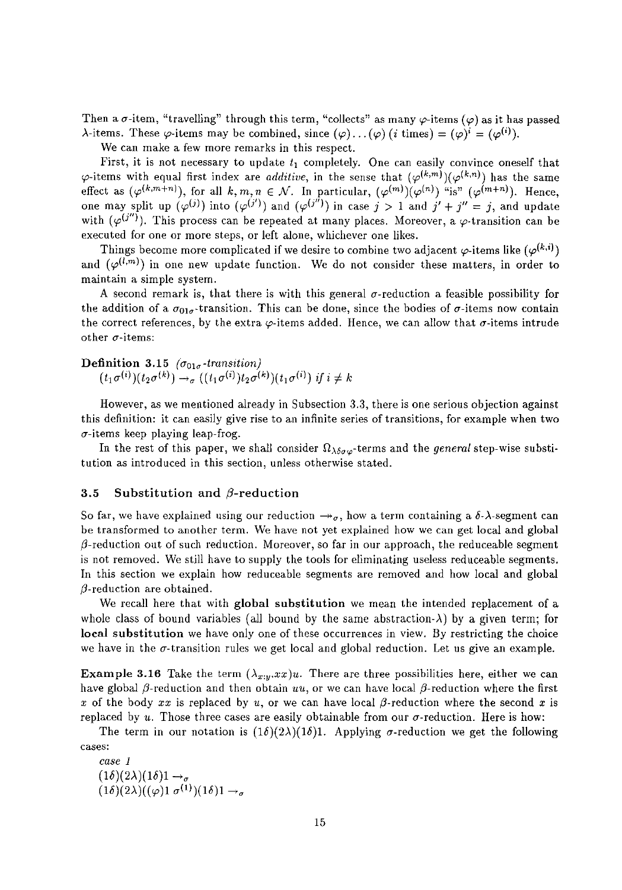Then a  $\sigma$ -item, "travelling" through this term, "collects" as many  $\varphi$ -items ( $\varphi$ ) as it has passed  $\lambda$ -items. These  $\varphi$ -items may be combined, since  $(\varphi)$ ,...  $(\varphi)$  (*i* times) =  $(\varphi)^i$  =  $(\varphi^{(i)})$ .

We can make a few more remarks in this respect.

First, it is not necessary to update *t,* completely. One can easily convince oneself that  $\varphi$ -items with equal first index are *additive*, in the sense that  $(\varphi^{(k,m)})(\varphi^{(k,n)})$  has the same effect as  $(\varphi^{(k,m+n)}),$  for all  $k,m,n \in \mathcal{N}$ . In particular,  $(\varphi^{(m)})(\varphi^{(n)})$  "is"  $(\varphi^{(m+n)})$ . Hence, one may split up  $(\varphi^{(j)})$  into  $(\varphi^{(j')})$  and  $(\varphi^{(j'')})$  in case  $j > 1$  and  $j' + j'' = j$ , and update with  $(\varphi^{(j'')})$ . This process can be repeated at many places. Moreover, a  $\varphi$ -transition can be executed for one or more steps, or left alone, whichever one likes.

Things become more complicated if we desire to combine two adjacent  $\varphi$ -items like  $(\varphi^{(k,i)})$ and  $(\varphi^{(l,m)})$  in one new update function. We do not consider these matters, in order to maintain a simple system.

A second remark is, that there is with this general  $\sigma$ -reduction a feasible possibility for the addition of a  $\sigma_{01\sigma}$ -transition. This can be done, since the bodies of  $\sigma$ -items now contain the correct references, by the extra  $\varphi$ -items added. Hence, we can allow that  $\sigma$ -items intrude **other a-items:** 

Definition 3.15  $(\sigma_{01\sigma}$ -transition)  $(t_1\sigma^{(i)})(t_2\sigma^{(k)}) \rightarrow_{\sigma} ((t_1\sigma^{(i)})t_2\sigma^{(k)})(t_1\sigma^{(i)})$  *if*  $i \neq k$ 

However, as we mentioned already in Subsection 3.3, there is one serious objection against this definition: it can easily give rise to an infinite series of transitions, for example when two  $\sigma$ -items keep playing leap-frog.

In the rest of this paper, we shall consider  $\Omega_{\lambda\delta\sigma\varphi}$ -terms and the *general* step-wise substitution as introduced in this section, unless otherwise stated.

### 3.5 Substitution and  $\beta$ -reduction

So far, we have explained using our reduction  $\rightarrow \sigma$ , how a term containing a  $\delta$ - $\lambda$ -segment can be transformed to another term. We have not yet explained how we can get local and global  $\beta$ -reduction out of such reduction. Moreover, so far in our approach, the reduceable segment is not removed. We still have to supply the tools for eliminating useless reduceable segments. In this section we explain how reduceable segments are removed and how local and global  $\beta$ -reduction are obtained.

We recall here that with global substitution we mean the intended replacement of a whole class of bound variables (all bound by the same abstraction- $\lambda$ ) by a given term; for local substitution we have only one of these occurrences in view. By restricting the choice we have in the  $\sigma$ -transition rules we get local and global reduction. Let us give an example.

**Example 3.16** Take the term  $(\lambda_{x:y}.xx)u$ . There are three possibilities here, either we can have global  $\beta$ -reduction and then obtain  $uu$ , or we can have local  $\beta$ -reduction where the first x of the body  $xx$  is replaced by  $u$ , or we can have local  $\beta$ -reduction where the second x is replaced by  $u$ . Those three cases are easily obtainable from our  $\sigma$ -reduction. Here is how:

The term in our notation is  $(1\delta)(2\lambda)(1\delta)$ 1. Applying  $\sigma$ -reduction we get the following **cases:** 

*case 1*   $(1\delta)(2\lambda)(1\delta)1 \rightarrow_{\sigma}$  $(1\delta)(2\lambda)((\varphi)1\ \sigma^{(1)})(1\delta)1\rightarrow_\sigma$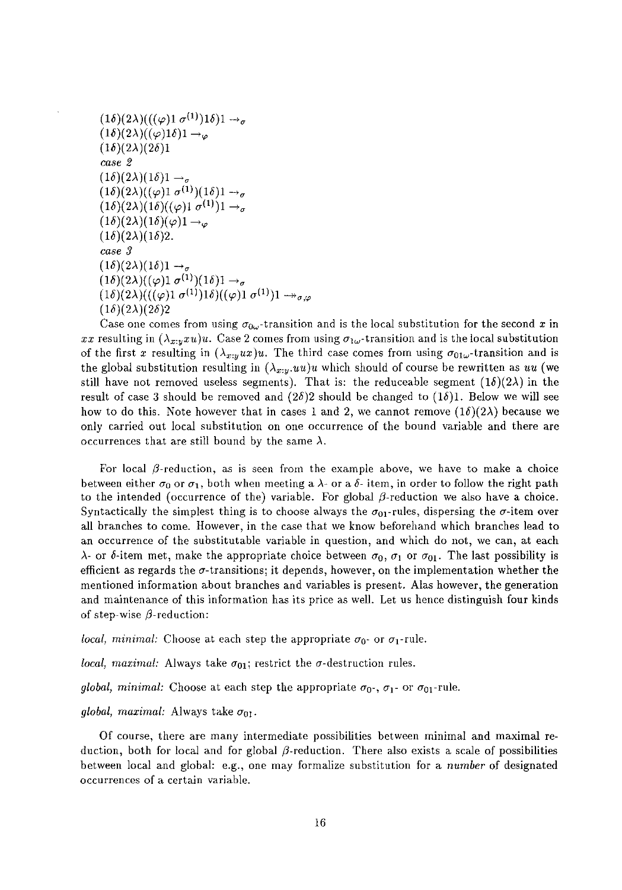```
(1\delta)(2\lambda)((\varphi)1\sigma^{(1)})1\delta)1\rightarrow_{\sigma}(1\delta)(2\lambda)((\varphi)1\delta)1 \rightarrow \varphi(1\delta)(2\lambda)(2\delta)1case 2 
(1\delta)(2\lambda)(1\delta)1 \rightarrow_\sigma(1\delta)(2\lambda)((\varphi)1 \sigma^{(1)})(1\delta)1 \rightarrow_{\sigma}(1\delta)(2\lambda)(1\delta)((\varphi)1\sigma^{(1)})1 \rightarrow_{\sigma}(1\delta)(2\lambda)(1\delta)(\varphi)1\rightarrow_{\varphi}(1\delta)(2\lambda)(1\delta)2.
case 3 
(1\delta)(2\lambda)(1\delta)1 \rightarrow_{\sigma}(1\delta)(2\lambda)((\varphi)1\sigma^{(1)})(1\delta)1\rightarrow_{\sigma}(1\delta)(2\lambda)(((\varphi)1 \sigma^{(1)})1\delta)((\varphi)1 \sigma^{(1)})1 \rightarrow_{\sigma,\sigma}(1\delta)(2\lambda)(2\delta)2
```
Case one comes from using  $\sigma_{0\omega}$ -transition and is the local substitution for the second x in *xx* resulting in  $(\lambda_{x,y} x u)u$ . Case 2 comes from using  $\sigma_{1\omega}$ -transition and is the local substitution of the first *x* resulting in  $(\lambda_{x:y} ux)u$ . The third case comes from using  $\sigma_{01\omega}$ -transition and is the global substitution resulting in  $(\lambda_{x,y}.uu)u$  which should of course be rewritten as *uu* (we still have not removed useless segments). That is: the reduceable segment  $(1\delta)(2\lambda)$  in the result of case 3 should be removed and  $(2\delta)2$  should be changed to  $(1\delta)1$ . Below we will see how to do this. Note however that in cases 1 and 2, we cannot remove  $(1\delta)(2\lambda)$  because we only carried out local substitution on one occurrence of the bound variable and there are occurrences that are still bound by the same  $\lambda$ .

For local  $\beta$ -reduction, as is seen from the example above, we have to make a choice between either  $\sigma_0$  or  $\sigma_1$ , both when meeting a  $\lambda$ - or a  $\delta$ - item, in order to follow the right path to the intended (occurrence of the) variable. For global  $\beta$ -reduction we also have a choice. Syntactically the simplest thing is to choose always the  $\sigma_{01}$ -rules, dispersing the  $\sigma$ -item over all branches to come. However, in the case that we know beforehand which branches lead to an occurrence of the substitutable variable in question, and which do not, we can, at each  $\lambda$ - or  $\delta$ -item met, make the appropriate choice between  $\sigma_0$ ,  $\sigma_1$  or  $\sigma_{01}$ . The last possibility is efficient as regards the  $\sigma$ -transitions; it depends, however, on the implementation whether the mentioned information about branches and variables is present. Alas however, the generation and maintenance of this information has its price as well. Let us hence distinguish four kinds of step-wise  $\beta$ -reduction:

*local, minimal:* Choose at each step the appropriate  $\sigma_0$  or  $\sigma_1$ -rule.

*local, maximal:* Always take  $\sigma_{01}$ ; restrict the  $\sigma$ -destruction rules.

*global, minimal:* Choose at each step the appropriate  $\sigma_0$ -,  $\sigma_1$ - or  $\sigma_{01}$ -rule.

*global, maximal:* Always take  $\sigma_{01}$ .

Of course, there are many intermediate possibilities between minimal and maximal reduction, both for local and for global  $\beta$ -reduction. There also exists a scale of possibilities between local and global: e.g., one may formalize substitution for a *number* of designated **occurrences of a certain variable.**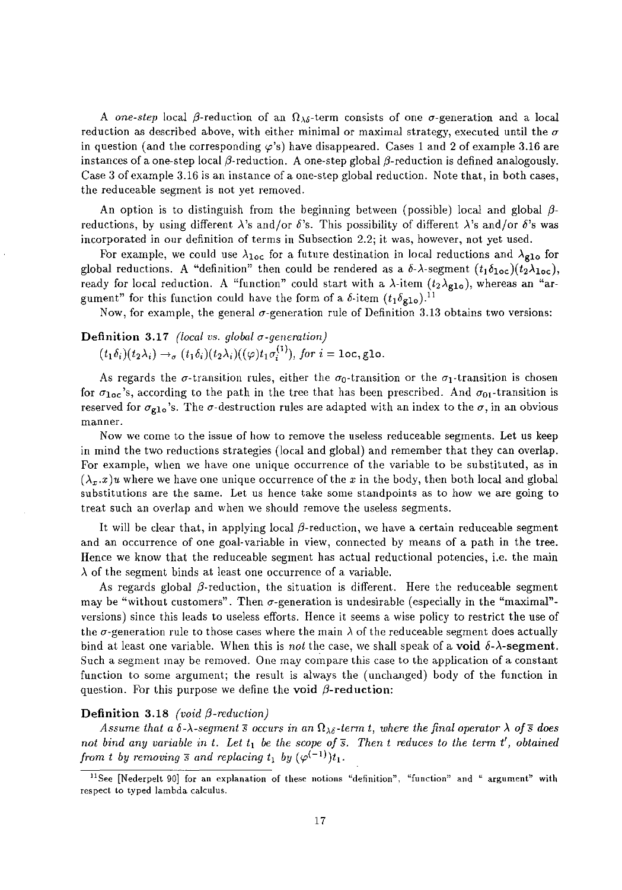A *one-step* local  $\beta$ -reduction of an  $\Omega_{\lambda\delta}$ -term consists of one  $\sigma$ -generation and a local reduction as described above, with either minimal or maximal strategy, executed until the  $\sigma$ in question (and the corresponding  $\varphi$ 's) have disappeared. Cases 1 and 2 of example 3.16 are instances of a one-step local  $\beta$ -reduction. A one-step global  $\beta$ -reduction is defined analogously. Case 3 of example 3.16 is an instance of a one-step global reduction. Note that, in both cases, the reduceable segment is not yet removed.

An option is to distinguish from the beginning between (possible) local and global  $\beta$ reductions, by using different *A*'s and/or  $\delta$ 's. This possibility of different *A*'s and/or  $\delta$ 's was incorporated in our definition of terms in Subsection 2.2; it was, however, not yet used.

For example, we could use  $\lambda_{\text{loc}}$  for a future destination in local reductions and  $\lambda_{\text{glo}}$  for global reductions. A "definition" then could be rendered as a  $\delta$ - $\lambda$ -segment  $(t_1\delta_{\text{loc}})(t_2\lambda_{\text{loc}})$ , ready for local reduction. A "function" could start with a  $\lambda$ -item  $(t_2\lambda_{g10})$ , whereas an "argument" for this function could have the form of a  $\delta$ -item  $(t_1\delta_{g10})$ <sup>11</sup>

Now, for example, the general  $\sigma$ -generation rule of Definition 3.13 obtains two versions:

## Definition 3.17 *(local vs. global a-generation)*

 $(t_1\delta_i)(t_2\lambda_i) \rightarrow_\sigma (t_1\delta_i)(t_2\lambda_i)((\varphi)t_1\sigma_i^{(1)})$ , for  $i = \text{loc}, \text{glo}.$ 

As regards the  $\sigma$ -transition rules, either the  $\sigma_0$ -transition or the  $\sigma_1$ -transition is chosen for  $\sigma_{loc}$ 's, according to the path in the tree that has been prescribed. And  $\sigma_{01}$ -transition is reserved for  $\sigma_{g1o}$ 's. The  $\sigma$ -destruction rules are adapted with an index to the  $\sigma$ , in an obvious **manner.** 

Now we come to the issue of how to remove the useless reduceable segments. Let us keep in mind the two reductions strategies (local and global) and remember that they can overlap. For example, when we have one unique occurrence of the variable to be substituted, as in  $(\lambda_x x)u$  where we have one unique occurrence of the *x* in the body, then both local and global substitutions are the same. Let us hence take some standpoints as to how we are going to treat such an overlap and when we should remove the useless segments.

It will be clear that, in applying local  $\beta$ -reduction, we have a certain reduceable segment and an occurrence of one goal-variable in view, connected by means of a path in the tree. Hence we know that the reduceable segment has actual reductional potencies, i.e. the main  $\lambda$  of the segment binds at least one occurrence of a variable.

As regards global  $\beta$ -reduction, the situation is different. Here the reduceable segment may be "without customers". Then  $\sigma$ -generation is undesirable (especially in the "maximal"versions) since this leads to useless efforts. Hence it seems a wise policy to restrict the use of the  $\sigma$ -generation rule to those cases where the main  $\lambda$  of the reduceable segment does actually bind at least one variable. When this is *not* the case, we shall speak of a **void**  $\delta$ - $\lambda$ -segment. Such a segment may be removed. One may compare this case to the application of a constant function to some argument; the result is always the (unchanged) body of the function in question. For this purpose we define the void  $\beta$ -reduction:

## **Definition 3.18** *(void*  $\beta$ *-reduction)*

*Assume that a*  $\delta$ *-* $\lambda$ *-segment*  $\bar{s}$  occurs in an  $\Omega_{\lambda\delta}$ -term t, where the final operator  $\lambda$  of  $\bar{s}$  does *not bind any variable in t. Let*  $t_1$  *be the scope of*  $\overline{s}$ *. Then t reduces to the term t', obtained from t by removing*  $\bar{s}$  and *replacing*  $t_1$  *by*  $(\varphi^{(-1)})t_1$ *.* 

<sup>&</sup>lt;sup>11</sup> See [Nederpelt 90] for an explanation of these notions "definition", "function" and " argument" with **respect to typed lambda calculus.**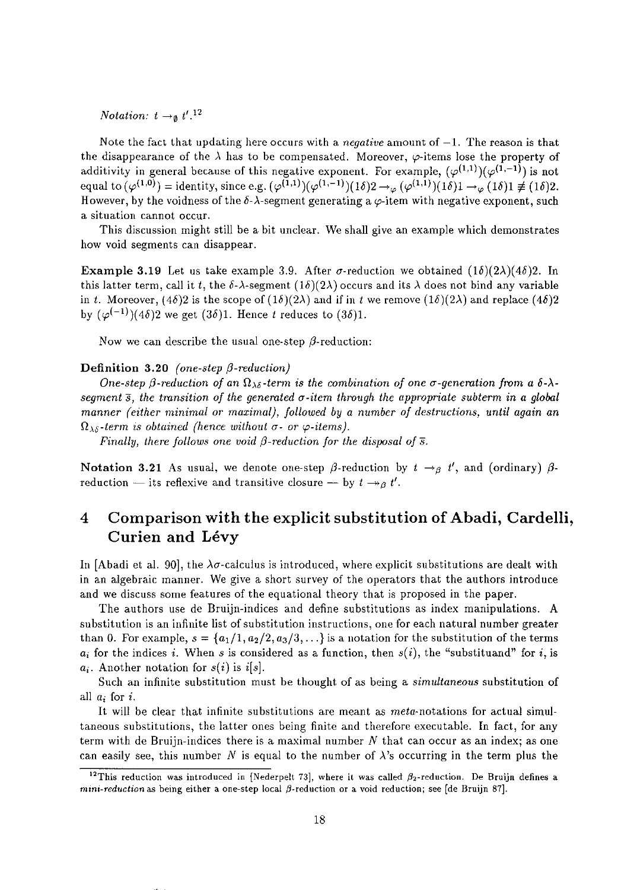*Notation:*  $t \rightarrow a$   $t'$ .<sup>12</sup>

Note the fact that updating here occurs with a *negative* amount of  $-1$ . The reason is that the disappearance of the  $\lambda$  has to be compensated. Moreover,  $\varphi$ -items lose the property of additivity in general because of this negative exponent. For example,  $(\varphi^{(1,1)})(\varphi^{(1,-1)})$  is not equal to  $(\varphi^{(1,0)}) =$  identity, since e.g.  $(\varphi^{(1,1)})(\varphi^{(1,-1)})(1\delta)2 \to_{\varphi} (\varphi^{(1,1)})(1\delta)1 \to_{\varphi} (1\delta)1 \neq (1\delta)2$ . However, by the voidness of the  $\delta$ - $\lambda$ -segment generating a  $\varphi$ -item with negative exponent, such **a situation cannot occur.** 

This discussion might still be a bit unclear. We shall give an example which demonstrates how void segments can disappear.

**Example 3.19** Let us take example 3.9. After  $\sigma$ -reduction we obtained  $(1\delta)(2\lambda)(4\delta)$ ? In this latter term, call it *t*, the  $\delta$ - $\lambda$ -segment (1 $\delta$ )(2 $\lambda$ ) occurs and its  $\lambda$  does not bind any variable in *t*. Moreover,  $(4\delta)2$  is the scope of  $(1\delta)(2\lambda)$  and if in *t* we remove  $(1\delta)(2\lambda)$  and replace  $(4\delta)2$ by  $(\varphi^{(-1)})$ (4 $\delta$ )2 we get (3 $\delta$ )1. Hence *t* reduces to (3 $\delta$ )1.

Now we can describe the usual one-step  $\beta$ -reduction:

### Definition  $3.20$  *(one-step*  $\beta$ *-reduction)*

*One-step*  $\beta$ *-reduction of an*  $\Omega_{\lambda\delta}$ -term is the combination of one  $\sigma$ -generation from a  $\delta$ - $\lambda$ *segment s, the tmnsition of the genemted a-item through the appropriate subterm in a global manner (either minimal or maximal), followed by a number of destructions, until again an*  $\Omega_{\lambda\delta}$ -term is obtained (hence without  $\sigma$ - or  $\varphi$ -items).

*Finally, there follows one void*  $\beta$ *-reduction for the disposal of*  $\overline{s}$ *.* 

Notation 3.21 As usual, we denote one-step  $\beta$ -reduction by  $t \rightarrow_{\beta} t'$ , and (ordinary)  $\beta$ reduction – its reflexive and transitive closure – by  $t \rightarrow g t'.$ 

# **4 Comparison with the explicit substitution of Abadi, Cardelli, Curien and Levy**

In [Abadi et al. 90], the  $\lambda\sigma$ -calculus is introduced, where explicit substitutions are dealt with in an algebraic manner. We give a short survey of the operators that the authors introduce and we discuss some features of the equational theory that is proposed in the paper.

The authors use de Bruijn-indices and define substitutions as index manipulations. A substitution is an infinite list of substitution instructions, one for each natural number greater than 0. For example,  $s = \{a_1/1, a_2/2, a_3/3, \ldots\}$  is a notation for the substitution of the terms  $a_i$  for the indices *i*. When *s* is considered as a function, then  $s(i)$ , the "substituand" for *i*, is  $a_i$ . Another notation for  $s(i)$  is  $i[s]$ .

Such an infinite substitution must be thought of as being a *simultaneous* substitution of all *ai* for i.

It will be clear that infinite substitutions are meant as *meta-notations* for actual simultaneous substitutions, the latter ones being finite and therefore executable. In fact, for any term with de Bruijn-indices there is a maximal number N that can occur as an index; as one can easily see, this number *N* is equal to the number of  $\lambda$ 's occurring in the term plus the

<sup>&</sup>lt;sup>12</sup>This reduction was introduced in [Nederpelt 73], where it was called  $\beta_2$ -reduction. De Bruijn defines a *mini-reduction* as being either a one-step local  $\beta$ -reduction or a void reduction; see [de Bruijn 87].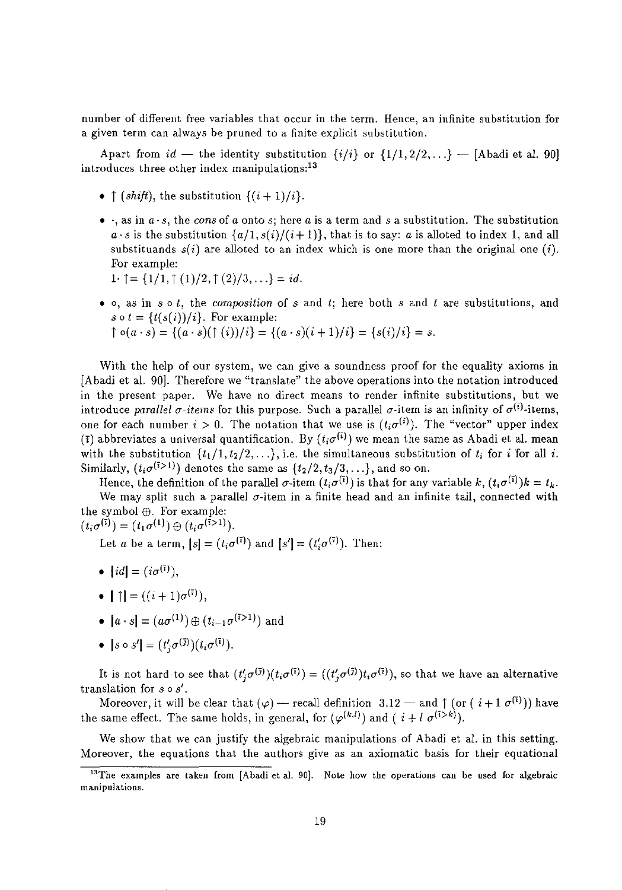number of different free variables that occur in the term. Hence, an infinite substitution for a given term can always be pruned to a finite explicit substitution.

Apart from  $id$  — the identity substitution  $\{i/i\}$  or  $\{1/1, 2/2, ...\}$  — [Abadi et al. 90] introduces three other index manipulations: $^{13}$ 

- $\uparrow$  *(shift), the substitution*  $\{(i+1)/i\}$ *.*
- $\cdot$ , as in  $a \cdot s$ , the *cons* of *a* onto *s*; here *a* is a term and *s* a substitution. The substitution  $a \cdot s$  is the substitution  $\{a/1, s(i)/(i+1)\}$ , that is to say: *a* is alloted to index 1, and all substituands  $s(i)$  are alloted to an index which is one more than the original one *(i)*. For example:
	- $1 \cdot \uparrow = \{1/1, \uparrow (1)/2, \uparrow (2)/3, \ldots\} = id.$
- 0, as in *sot,* the *composition* of sand *t;* here both 8 and *t* are substitutions, and  $s \circ t = \{t(s(i))/i\}$ . For example:

$$
\uparrow \circ (a \cdot s) = \{ (a \cdot s)(\uparrow (i))/i \} = \{ (a \cdot s)(i+1)/i \} = \{ s(i)/i \} = s.
$$

With the help of our system, we can give a soundness proof for the equality axioms in [Abadi et al. 90J. Therefore we "translate" the above operations into the notation introduced in the present paper. We have no direct means to render infinite substitutions, but we introduce *parallel*  $\sigma$ -items for this purpose. Such a parallel  $\sigma$ -item is an infinity of  $\sigma^{(i)}$ -items, one for each number  $i > 0$ . The notation that we use is  $(t_i \sigma^{(i)})$ . The "vector" upper index  $(\bar{i})$  abbreviates a universal quantification. By  $(t_i\sigma^{(\bar{i})})$  we mean the same as Abadi et al. mean with the substitution  $\{t_1/1, t_2/2, \ldots\}$ , i.e. the simultaneous substitution of  $t_i$  for i for all i. Similarly,  $(t_i \sigma^{(i>1)})$  denotes the same as  $\{t_2/2, t_3/3, \ldots\}$ , and so on.

Hence, the definition of the parallel  $\sigma$ -item  $(t_i\sigma^{(i)})$  is that for any variable  $k$ ,  $(t_i\sigma^{(i)})k = t_k$ . We may split such a parallel  $\sigma$ -item in a finite head and an infinite tail, connected with the symbol  $\oplus$ . For example:

 $(t_i \sigma^{(\bar{i})}) = (t_1 \sigma^{(1)}) \oplus (t_i \sigma^{(\bar{i} > 1)}).$ 

Let *a* be a term,  $[s] = (t_i \sigma^{(\overline{i})})$  and  $[s'] = (t_i' \sigma^{(\overline{i})})$ . Then:

- $\lceil id \rceil = (i\sigma^{(i)}),$
- $\mathbf{1} \mathbf{1} = ((i+1)\sigma^{(\overline{i})}),$
- $[a \cdot s] = (a\sigma^{(1)}) \oplus (t_{i-1}\sigma^{(i>1)})$  and
- $[s \circ s'] = (t'_i \sigma^{(\bar{\jmath})})(t_i \sigma^{(\bar{\imath})}).$

It is not hard to see that  $(t'_i\sigma^{(i)})(t_i\sigma^{(i)}) = ((t'_i\sigma^{(i)})t_i\sigma^{(i)})$ , so that we have an alternative translation for  $s \circ s'$ .

Moreover, it will be clear that  $(\varphi)$  - recall definition 3.12 - and  $\uparrow$  (or  $(i + 1 \sigma^{(i)})$ ) have the same effect. The same holds, in general, for  $(\varphi^{(k,l)})$  and  $(i + l \sigma^{(i>k)})$ .

We show that we can justify the algebraic manipulations of Abadi et al. in this setting. Moreover, the equations that the authors give as an axiomatic basis for their equational

**<sup>13</sup>The examples are taken from [Abadi et al. 90]. Note how the operations can be used for algebraic manipulations.**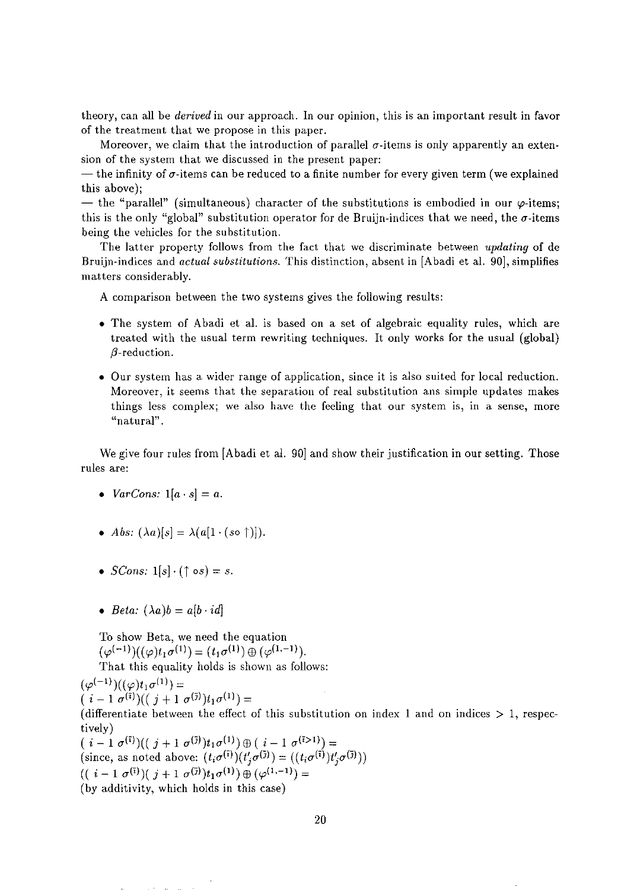theory, can all be *derived* in our approach. In our opinion, this is an important result in favor of the treatment that we propose in this paper.

Moreover, we claim that the introduction of parallel  $\sigma$ -items is only apparently an extension of the system that we discussed in the present paper:

 $-$  the infinity of  $\sigma$ -items can be reduced to a finite number for every given term (we explained this above);

- the "parallel" (simultaneous) character of the substitutions is embodied in our  $\varphi$ -items; this is the only "global" substitution operator for de Bruijn-indices that we need, the  $\sigma$ -items being the vehicles for the substitution.

The latter property follows from the fact that we discriminate between *updating* of de Bruijn-indices and *actual substitutions.* This distinction, absent in [Abadi et al. 90J, simplifies matters considerably.

A comparison between the two systems gives the following results:

- The system of Abadi et al. is based on a set of algebraic equality rules, which are treated with the usual term rewriting techniques. It only works for the usual (global)  $\beta$ -reduction.
- Our system has a wider range of application, since it is also suited for local reduction. Moreover, it seems that the separation of real substitution ans simple updates makes things less complex; we also have the feeling that our system is, in a sense, more **"natural" .**

We give four rules from [Abadi et al. 90] and show their justification in our setting. Those rules are:

- *VarCons:*  $1[a \cdot s] = a$ .
- Abs:  $(\lambda a)[s] = \lambda(a[1 \cdot (s \circ \uparrow)]).$
- *SCons:*  $1[s] \cdot ( \uparrow \circ s) = s$ .
- *Beta:*  $(\lambda a)b = a[b \cdot id]$

To show Beta, we need the equation  $(\varphi^{(-1)})((\varphi)t_1\sigma^{(1)}) = (t_1\sigma^{(1)}) \oplus (\varphi^{(1,-1)})$ . That this equality holds is shown as follows:

 $(\varphi^{(-1)})((\varphi)t_1\sigma^{(1)}) =$  $(i-1 \sigma^{(\bar{i})})((j+1 \sigma^{(\bar{j})})t_1\sigma^{(1)})=$ 

(differentiate between the effect of this substitution on index 1 and on indices  $> 1$ , respectively)

 $(i - 1 \sigma^{(i)})((j + 1 \sigma^{(j)})t_1\sigma^{(1)}) \oplus (i - 1 \sigma^{(i+1)}) =$ (since, as noted above:  $(t_i \sigma^{(i)})(t'_i \sigma^{(j)}) = ((t_i \sigma^{(i)})t'_i \sigma^{(j)}))$  $((i-1 \sigma^{(i)})(j+1 \sigma^{(j)})t_1\sigma^{(1)}) \oplus (\varphi^{(1,-1)}) =$ (by additivity, which holds in this case)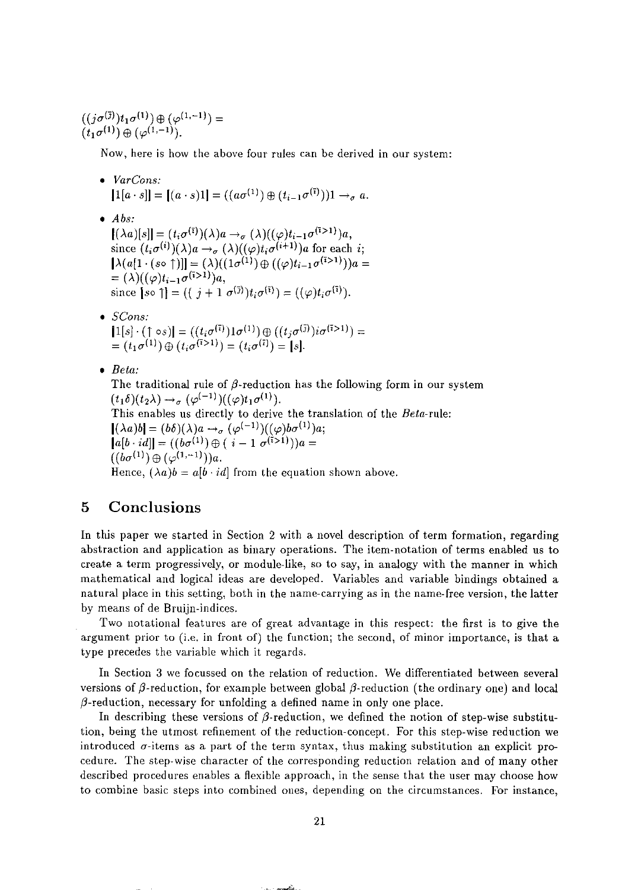$((j\sigma^{(\bar\jmath)})t_1\sigma^{(1)})\oplus(\varphi^{(1,-1)})=$  $(t_1 \sigma^{(1)}) \oplus (\varphi^{(1,-1)})$ .

Now, here is how the above four rules can be derived in our system:

*• VarCons:*   $[1[a \cdot s]] = [(a \cdot s)1] = ((a\sigma^{(1)}) \oplus (t_{i-1}\sigma^{(i)}))1 \rightarrow_{\sigma} a.$ 

*• Abs:* 

 $[(\lambda a)[s]] = (t_i \sigma^{(\bar{\imath})})(\lambda)a \rightarrow_\sigma (\lambda)((\varphi)t_{i-1}\sigma^{(\bar{\imath} > 1)})a,$ since  $(t_i\sigma^{(i)})(\lambda)a \rightarrow_\sigma (\lambda)((\varphi)t_i\sigma^{(i+1)})a$  for each *i*;  $\left[\lambda(a[1\cdot (s\circ \hat{\uparrow})]\right] = (\lambda)((1\hat{\sigma}^{(1)})\oplus ((\varphi)t_{i-1}\sigma^{(i>1)}))a =$  $=(\lambda)((\varphi)t_{i-1}\sigma^{(i>1)})a,$ since  $\int$ so  $\uparrow$ ] =  $((j + 1 \sigma^{(\bar{\jmath})})t_i \sigma^{(\bar{\imath})}) = ((\varphi)t_i \sigma^{(\bar{\imath})}).$ 

- *SCons:*   $[1[s] \cdot (1 \circ s)] = ((t_i \sigma^{(1)})1 \sigma^{(1)}) \oplus ((t_j \sigma^{(j)})i \sigma^{(i>1)}) =$  $= (t_1 \sigma^{(1)}) \oplus (t_i \sigma^{(1)}) = (t_i \sigma^{(1)}) = [s].$
- *Beta:*

The traditional rule of  $\beta$ -reduction has the following form in our system  $(t_1\delta)(t_2\lambda) \rightarrow_\sigma (\varphi^{(-1)})((\varphi)t_1\sigma^{(1)}).$ This enables us directly to derive the translation of the *Beta-rule:*   $[(\lambda a)b] = (b\delta)(\lambda)a \rightarrow_{\sigma} (\varphi^{(-1)})((\varphi)b\sigma^{(1)})a;$  $[a[b \cdot id]] = ((b\sigma^{(1)}) \oplus (i-1\sigma^{(1)})a] =$  $((b\sigma^{(1)})\oplus (\varphi^{(1,-1)}))a.$ Hence,  $(\lambda a)b = a[b \cdot id]$  from the equation shown above.

## **5 Conclusions**

In this paper we started in Section 2 with a novel description of term formation, regarding abstraction and application as binary operations. The item-notation of terms enabled us to create a term progressively, or module-like, so to say, in analogy with the manner in which mathematical and logical ideas are developed. Variables and variable bindings obtained a natural place in this setting, both in the name-carrying as in the name-free version, the latter by means of de Bruijn-indices.

Two notational features are of great advantage in this respect: the first is to give the argument prior to (i.e. in front of) the function; the second, of minor importance, is that a type precedes the variable which it regards.

In Section 3 we focussed on the relation of reduction. We differentiated between several versions of  $\beta$ -reduction, for example between global  $\beta$ -reduction (the ordinary one) and local  $\beta$ -reduction, necessary for unfolding a defined name in only one place.

In describing these versions of  $\beta$ -reduction, we defined the notion of step-wise substitution, being the utmost refinement of the reduction-concept. For this step-wise reduction we introduced  $\sigma$ -items as a part of the term syntax, thus making substitution an explicit procedure. The step-wise character of the corresponding reduction relation and of many other described procedures enables a flexible approach, in the sense that the user may choose how **to combine basic steps into combined ones, depending on the circumstances. For instance,**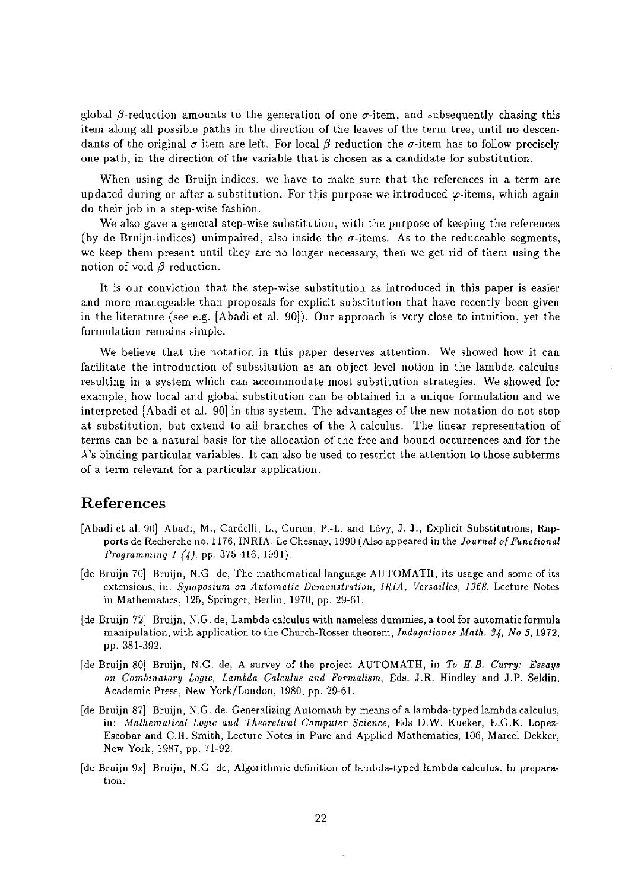global  $\beta$ -reduction amounts to the generation of one  $\sigma$ -item, and subsequently chasing this item along all possible paths in the direction of the leaves of the term tree, until no descendants of the original  $\sigma$ -item are left. For local  $\beta$ -reduction the  $\sigma$ -item has to follow precisely one path, in the direction of the variable that is chosen as a candidate for substitution.

When using de Bruijn-indices, we have to make sure that the references in a term are updated during or after a substitution. For this purpose we introduced  $\varphi$ -items, which again do their job in a step-wise fashion.

We also gave a general step-wise substitution, with the purpose of keeping the references (by de Bruijn-indices) unimpaired, also inside the  $\sigma$ -items. As to the reduceable segments, we keep them present until they are no longer necessary, then we get rid of them using the notion of void  $\beta$ -reduction.

It is our conviction that the step-wise substitution as introduced in this paper is easier and more manegeable than proposals for explicit substitution that have recently been given in the literature (see e.g. [Abadi et al. 90]). Our approach is very close to intuition, yet the **formulation remains simple.** 

We believe that the notation in this paper deserves attention. We showed how it can facilitate the introduction of substitution as an object level notion in the lambda calculus resulting in a system which can accommodate most substitution strategies. We showed for example, how local and global substitution can be obtained in a unique formulation and we interpreted [Abadi et al. 90J in this system. The advantages of the new notation do not stop at substitution, but extend to all branches of the  $\lambda$ -calculus. The linear representation of terms can be a natural basis for the allocation of the free and bound occurrences and for the  $\lambda$ 's binding particular variables. It can also be used to restrict the attention to those subterms of a term relevant for a particular application.

## **References**

- [Abadi et al. 90] Abadi, M., Cardelli, L., Curien, P.-L. and Levy, J.-J., Explicit Substitutions, Rapports de Recherche no. 1176, INRIA, Le Chesnay, 1990 (Also appeared in the *lournal of Functional Programming* 1 (4), pp. 375-416, 1991).
- [de Bruijn 70] Bruijn, N.C. de, The mathematical language AUTOMATH, its usage and some of its **extensions, in:** *Symposium on Automatic Demonstration, IRIA, Versailles,* **1968, Lecture Notes**  in Mathematics, 125, Springer, Berlin, 1970, pp. 29-61.
- [de Bruijn 72] Bruijn, N.C. de, Lambda calculus with nameless dummies, a tool for automatic formula **manipulation, with application to the Church-Rosser theorem,** *Indagationes Math.* **34,** *No* **5, 1972,**  pp. 381-392.
- [de Bruijn 80] Bruijn, N.C. de, A survey of the project AUTOMATH, in *To H.B. Curry: Essays on Combinatory Logic, Lambda Calculus and Formalism,* **Eds. J .R. Hindley and J.P. Seldin,**  Academic Press, New York/London, 1980, pp. 29-61.
- [de Bruijn 87] Bruijn, N.C. de, Ceneralizing Automath by means of a lambda-typed lambda calculus, in: *Mathematical Logic and Theoretical Computer Science,* Eds D.W. Kueker, E.C.K. Lopez-**Escobar and C.H. Smith, Lecture Notes in Pure and Applied Mathematics, 106, Marcel Dekker,**  New York, 1987, pp. 71-92.
- [de Bruijn 9x] Bruijn, N.C. de, Algorithmic definition of lambda-typed lambda calculus. In prepara**tion.**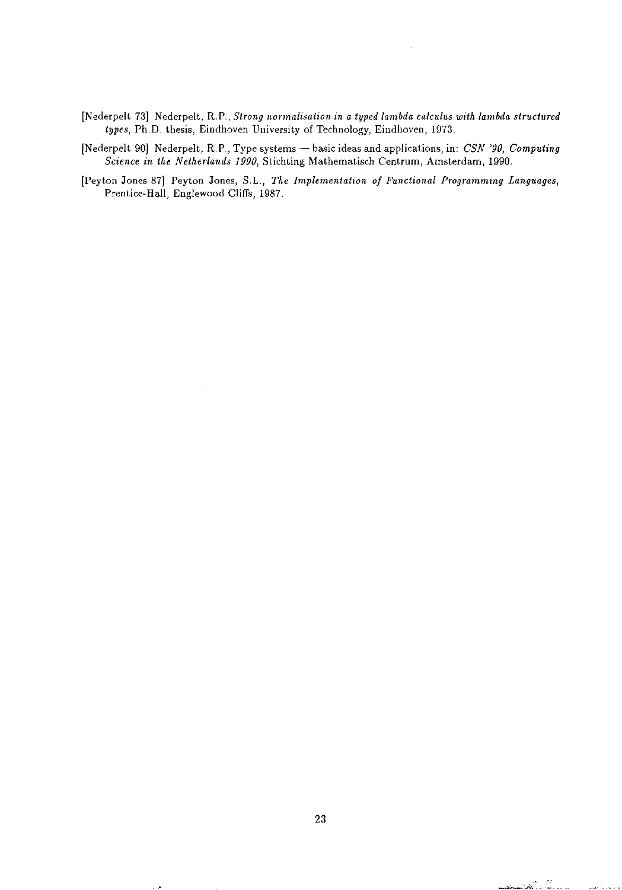- [Nederpelt 73] Nederpelt, R.P., *Strong normalisation in a typed lambda calculus with lambda structured types,* Ph.D. thesis, Eindhoven University of Technology, Eindhoven, 1973.
- [Nederpelt 90] Nederpelt, R.P., Type systems basic ideas and applications, in: *CSN '90, Computing Science in the Netherlands 1990,* Stichting Mathematisch Centrum, Amsterdam, 1990.
- **[Peyton Jones 87] Peyton Jones, S.L.,** *The Implementation of Functional Programming Languages,*  Prentice-Hall, Englewood Cliffs, 1987.

Ã.

and the state for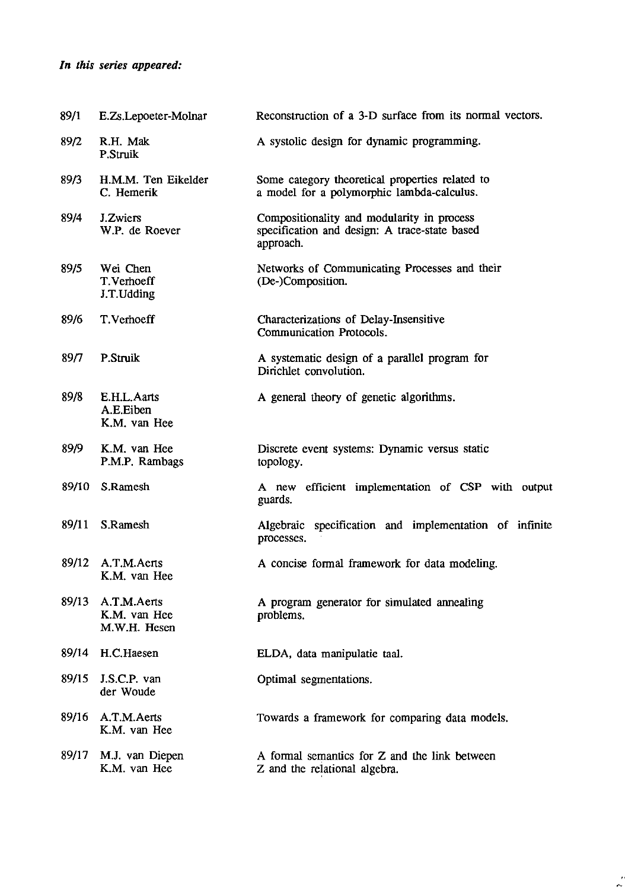## *In this series appeared:*

| 89/1  | E.Zs.Lepoeter-Molnar                        | Reconstruction of a 3-D surface from its normal vectors.                                                 |
|-------|---------------------------------------------|----------------------------------------------------------------------------------------------------------|
| 89/2  | R.H. Mak<br>P.Struik                        | A systolic design for dynamic programming.                                                               |
| 89/3  | H.M.M. Ten Eikelder<br>C. Hemerik           | Some category theoretical properties related to<br>a model for a polymorphic lambda-calculus.            |
| 89/4  | J.Zwiers<br>W.P. de Roever                  | Compositionality and modularity in process<br>specification and design: A trace-state based<br>approach. |
| 89/5  | Wei Chen<br>T. Verhoeff<br>J.T.Udding       | Networks of Communicating Processes and their<br>(De-)Composition.                                       |
| 89/6  | T. Verhoeff                                 | Characterizations of Delay-Insensitive<br>Communication Protocols.                                       |
| 89/7  | P.Struik                                    | A systematic design of a parallel program for<br>Dirichlet convolution.                                  |
| 89/8  | E.H.L.Aarts<br>A.E.Eiben<br>K.M. van Hee    | A general theory of genetic algorithms.                                                                  |
| 89/9  | K.M. van Hee<br>P.M.P. Rambags              | Discrete event systems: Dynamic versus static<br>topology.                                               |
| 89/10 | S.Ramesh                                    | A new efficient implementation of CSP with output<br>guards.                                             |
| 89/11 | S.Ramesh                                    | Algebraic specification and implementation of infinite<br>processes.                                     |
| 89/12 | A.T.M.Aerts<br>K.M. van Hee                 | A concise formal framework for data modeling.                                                            |
| 89/13 | A.T.M.Aerts<br>K.M. van Hee<br>M.W.H. Hesen | A program generator for simulated annealing<br>problems.                                                 |
| 89/14 | H.C.Haesen                                  | ELDA, data manipulatie taal.                                                                             |
| 89/15 | J.S.C.P. van<br>der Woude                   | Optimal segmentations.                                                                                   |
| 89/16 | A.T.M.Aerts<br>K.M. van Hee                 | Towards a framework for comparing data models.                                                           |
| 89/17 | M.J. van Diepen<br>K.M. van Hee             | A formal semantics for Z and the link between<br>Z and the relational algebra.                           |
|       |                                             |                                                                                                          |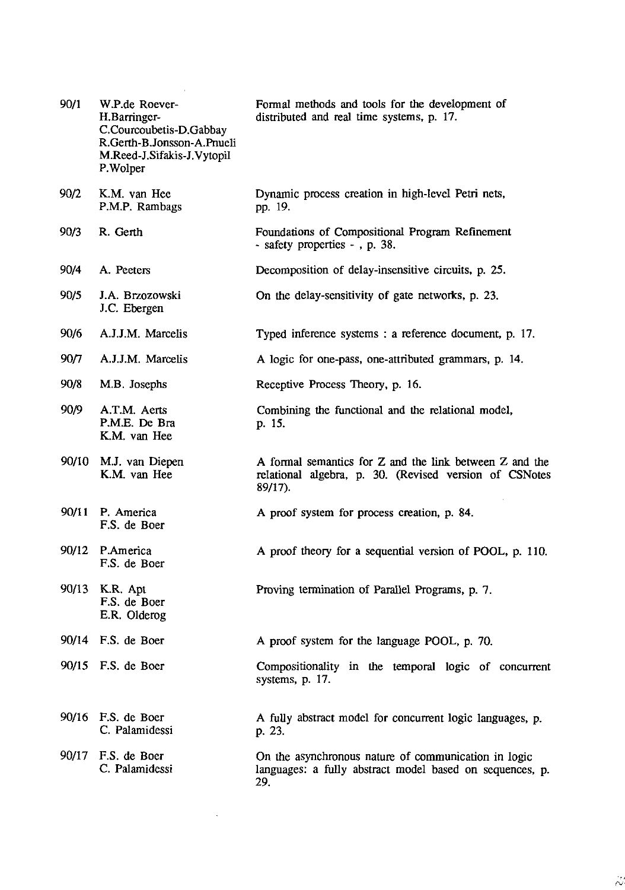| 90/1  | W.P.de Roever-<br>H.Barringer-<br>C.Courcoubetis-D.Gabbay<br>R.Gerth-B.Jonsson-A.Pnueli<br>M.Reed-J.Sifakis-J.Vytopil<br>P.Wolper | Formal methods and tools for the development of<br>distributed and real time systems, p. 17.                                 |
|-------|-----------------------------------------------------------------------------------------------------------------------------------|------------------------------------------------------------------------------------------------------------------------------|
| 90/2  | K.M. van Hee<br>P.M.P. Rambags                                                                                                    | Dynamic process creation in high-level Petri nets,<br>pp. 19.                                                                |
| 90/3  | R. Gerth                                                                                                                          | Foundations of Compositional Program Refinement<br>- safety properties - , p. 38.                                            |
| 90/4  | A. Peeters                                                                                                                        | Decomposition of delay-insensitive circuits, p. 25.                                                                          |
| 90/5  | J.A. Brzozowski<br>J.C. Ebergen                                                                                                   | On the delay-sensitivity of gate networks, p. 23.                                                                            |
| 90/6  | A.J.J.M. Marcelis                                                                                                                 | Typed inference systems : a reference document, p. 17.                                                                       |
| 90/7  | A.J.J.M. Marcelis                                                                                                                 | A logic for one-pass, one-attributed grammars, p. 14.                                                                        |
| 90/8  | M.B. Josephs                                                                                                                      | Receptive Process Theory, p. 16.                                                                                             |
| 90/9  | A.T.M. Aerts<br>P.M.E. De Bra<br>K.M. van Hee                                                                                     | Combining the functional and the relational model,<br>p. 15.                                                                 |
| 90/10 | M.J. van Diepen<br>K.M. van Hee                                                                                                   | A formal semantics for Z and the link between Z and the<br>relational algebra, p. 30. (Revised version of CSNotes<br>89/17). |
| 90/11 | P. America<br>F.S. de Boer                                                                                                        | A proof system for process creation, p. 84.                                                                                  |
| 90/12 | P.America<br>F.S. de Boer                                                                                                         | A proof theory for a sequential version of POOL, p. 110.                                                                     |
|       | 90/13 K.R. Apt<br>F.S. de Boer<br>E.R. Olderog                                                                                    | Proving termination of Parallel Programs, p. 7.                                                                              |
|       | 90/14 F.S. de Boer                                                                                                                | A proof system for the language POOL, p. 70.                                                                                 |
|       | 90/15 F.S. de Boer                                                                                                                | Compositionality in the temporal logic of concurrent<br>systems, p. 17.                                                      |
| 90/16 | F.S. de Boer<br>C. Palamidessi                                                                                                    | A fully abstract model for concurrent logic languages, p.<br>p. 23.                                                          |
|       | 90/17 F.S. de Boer<br>C. Palamidessi                                                                                              | On the asynchronous nature of communication in logic<br>languages: a fully abstract model based on sequences, p.<br>29.      |

 $\lambda$ 

 $\label{eq:2.1} \frac{1}{\sqrt{2\pi}}\int_{0}^{\infty}\frac{1}{\sqrt{2\pi}}\left(\frac{1}{\sqrt{2\pi}}\right)^{2\alpha} \frac{1}{\sqrt{2\pi}}\frac{1}{\sqrt{2\pi}}\int_{0}^{\infty}\frac{1}{\sqrt{2\pi}}\frac{1}{\sqrt{2\pi}}\frac{1}{\sqrt{2\pi}}\frac{1}{\sqrt{2\pi}}\frac{1}{\sqrt{2\pi}}\frac{1}{\sqrt{2\pi}}\frac{1}{\sqrt{2\pi}}\frac{1}{\sqrt{2\pi}}\frac{1}{\sqrt{2\pi}}\frac{1}{\sqrt{2\pi}}\frac{$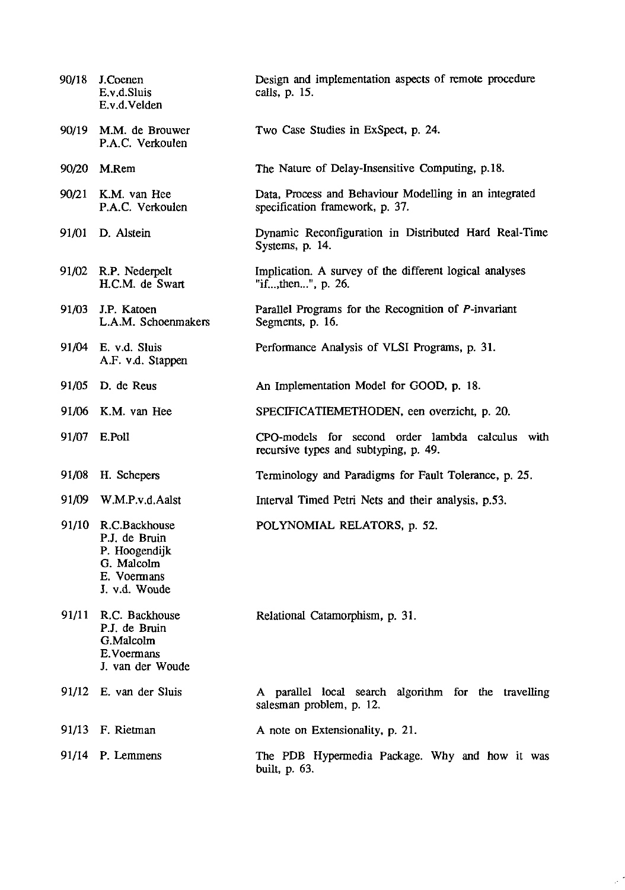| 90/18 | J.Coenen<br>E.v.d.Sluis<br>E.v.d.Velden                                                             | Design and implementation aspects of remote procedure<br>calls, p. 15.                    |
|-------|-----------------------------------------------------------------------------------------------------|-------------------------------------------------------------------------------------------|
| 90/19 | M.M. de Brouwer<br>P.A.C. Verkoulen                                                                 | Two Case Studies in ExSpect, p. 24.                                                       |
| 90/20 | M.Rem                                                                                               | The Nature of Delay-Insensitive Computing, p.18.                                          |
|       | 90/21 K.M. van Hee<br>P.A.C. Verkoulen                                                              | Data, Process and Behaviour Modelling in an integrated<br>specification framework, p. 37. |
|       | 91/01 D. Alstein                                                                                    | Dynamic Reconfiguration in Distributed Hard Real-Time<br>Systems, p. 14.                  |
|       | 91/02 R.P. Nederpelt<br>H.C.M. de Swart                                                             | Implication. A survey of the different logical analyses<br>"if,then", p. 26.              |
| 91/03 | J.P. Katoen<br>L.A.M. Schoenmakers                                                                  | Parallel Programs for the Recognition of P-invariant<br>Segments, p. 16.                  |
|       | 91/04 E. v.d. Sluis<br>A.F. v.d. Stappen                                                            | Performance Analysis of VLSI Programs, p. 31.                                             |
|       | 91/05 D. de Reus                                                                                    | An Implementation Model for GOOD, p. 18.                                                  |
|       | 91/06 K.M. van Hee                                                                                  | SPECIFICATIEMETHODEN, een overzicht, p. 20.                                               |
|       | 91/07 E.Poll                                                                                        | CPO-models for second order lambda calculus with<br>recursive types and subtyping, p. 49. |
| 91/08 | H. Schepers                                                                                         | Terminology and Paradigms for Fault Tolerance, p. 25.                                     |
| 91/09 | W.M.P.v.d.Aalst                                                                                     | Interval Timed Petri Nets and their analysis, p.53.                                       |
|       | 91/10 R.C.Backhouse<br>P.J. de Bruin<br>P. Hoogendijk<br>G. Malcolm<br>E. Voermans<br>J. v.d. Woude | POLYNOMIAL RELATORS, p. 52.                                                               |
|       | 91/11 R.C. Backhouse<br>P.J. de Bruin<br>G.Malcolm<br>E. Voermans<br>J. van der Woude               | Relational Catamorphism, p. 31.                                                           |
|       | 91/12 E. van der Sluis                                                                              | A parallel local search algorithm for the travelling<br>salesman problem, p. 12.          |
|       | 91/13 F. Rietman                                                                                    | A note on Extensionality, p. 21.                                                          |
|       | $91/14$ P. Lemmens                                                                                  | The PDB Hypermedia Package. Why and how it was<br>built, p. 63.                           |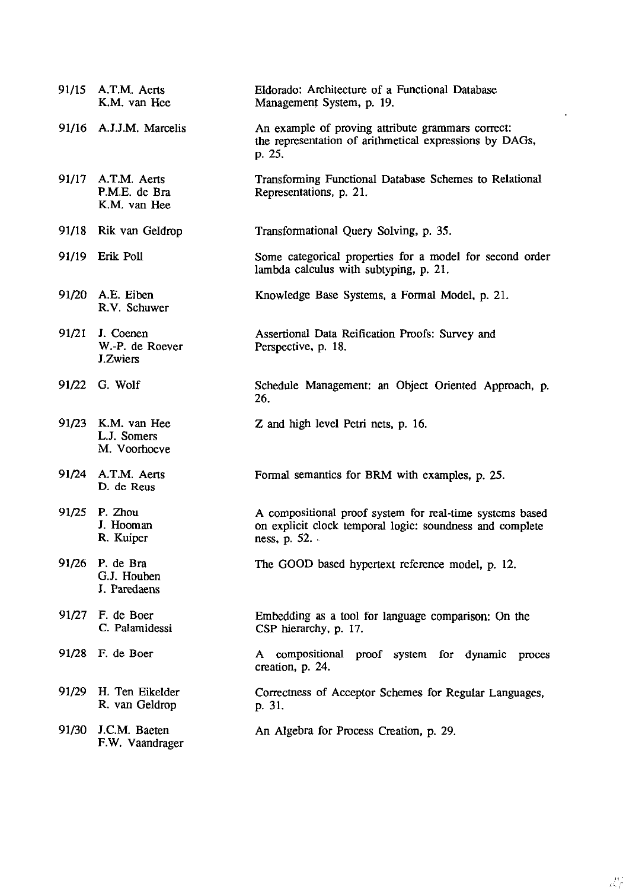|       | 91/15 A.T.M. Aerts<br>K.M. van Hee                  | Eldorado: Architecture of a Functional Database<br>Management System, p. 19.                                                         |
|-------|-----------------------------------------------------|--------------------------------------------------------------------------------------------------------------------------------------|
|       | 91/16 A.J.J.M. Marcelis                             | An example of proving attribute grammars correct:<br>the representation of arithmetical expressions by DAGs,<br>p. 25.               |
|       | 91/17 A.T.M. Aerts<br>P.M.E. de Bra<br>K.M. van Hee | Transforming Functional Database Schemes to Relational<br>Representations, p. 21.                                                    |
|       | 91/18 Rik van Geldrop                               | Transformational Query Solving, p. 35.                                                                                               |
|       | 91/19 Erik Poll                                     | Some categorical properties for a model for second order<br>lambda calculus with subtyping, p. 21.                                   |
|       | 91/20 A.E. Eiben<br>R.V. Schuwer                    | Knowledge Base Systems, a Formal Model, p. 21.                                                                                       |
| 91/21 | J. Coenen<br>W.-P. de Roever<br><b>J.Zwiers</b>     | Assertional Data Reification Proofs: Survey and<br>Perspective, p. 18.                                                               |
|       | 91/22 G. Wolf                                       | Schedule Management: an Object Oriented Approach, p.<br>26.                                                                          |
|       | 91/23 K.M. van Hee<br>L.J. Somers<br>M. Voorhoeve   | Z and high level Petri nets, p. 16.                                                                                                  |
|       | 91/24 A.T.M. Aerts<br>D. de Reus                    | Formal semantics for BRM with examples, p. 25.                                                                                       |
|       | 91/25 P. Zhou<br>J. Hooman<br>R. Kuiper             | A compositional proof system for real-time systems based<br>on explicit clock temporal logic: soundness and complete<br>ness, p. 52. |
| 91/26 | P. de Bra<br>G.J. Houben<br>J. Paredaens            | The GOOD based hypertext reference model, p. 12.                                                                                     |
|       | 91/27 F. de Boer<br>C. Palamidessi                  | Embedding as a tool for language comparison: On the<br>CSP hierarchy, p. 17.                                                         |
|       | 91/28 F. de Boer                                    | compositional proof system for dynamic proces<br>A<br>creation, p. 24.                                                               |
| 91/29 | H. Ten Eikelder<br>R. van Geldrop                   | Correctness of Acceptor Schemes for Regular Languages,<br>p. 31.                                                                     |
|       | 91/30 J.C.M. Baeten<br>F.W. Vaandrager              | An Algebra for Process Creation, p. 29.                                                                                              |

 $\sim 10^7$